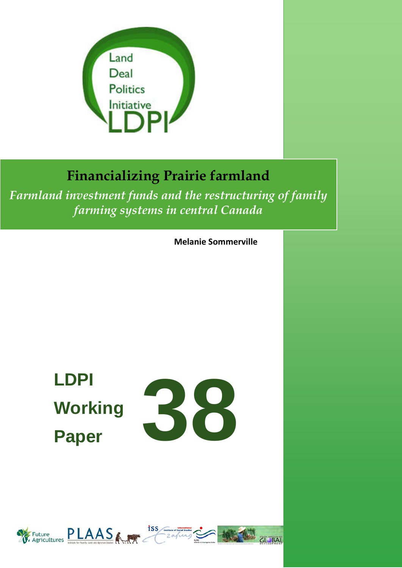

## **Financializing Prairie farmland**

*Farmland investment funds and the restructuring of family farming systems in central Canada*

**Melanie Sommerville**

# **LDPI Working Paper**



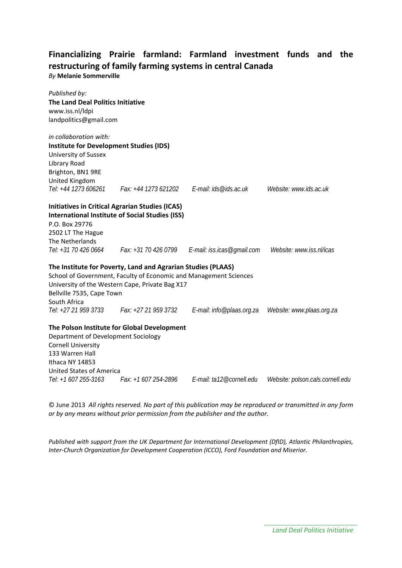#### **Financializing Prairie farmland: Farmland investment funds and the restructuring of family farming systems in central Canada** *By* **Melanie Sommerville**

| Published by:<br><b>The Land Deal Politics Initiative</b><br>www.iss.nl/ldpi<br>landpolitics@gmail.com |                                                                   |                                                 |                                  |
|--------------------------------------------------------------------------------------------------------|-------------------------------------------------------------------|-------------------------------------------------|----------------------------------|
| in collaboration with:                                                                                 |                                                                   |                                                 |                                  |
| <b>Institute for Development Studies (IDS)</b>                                                         |                                                                   |                                                 |                                  |
| University of Sussex                                                                                   |                                                                   |                                                 |                                  |
| Library Road<br>Brighton, BN1 9RE                                                                      |                                                                   |                                                 |                                  |
| United Kingdom                                                                                         |                                                                   |                                                 |                                  |
| Tel: +44 1273 606261                                                                                   | Fax: +44 1273 621202                                              | E-mail: ids@ids.ac.uk                           | Website: www.ids.ac.uk           |
|                                                                                                        | <b>Initiatives in Critical Agrarian Studies (ICAS)</b>            |                                                 |                                  |
|                                                                                                        | <b>International Institute of Social Studies (ISS)</b>            |                                                 |                                  |
| P.O. Box 29776                                                                                         |                                                                   |                                                 |                                  |
| 2502 LT The Hague                                                                                      |                                                                   |                                                 |                                  |
| The Netherlands                                                                                        |                                                                   |                                                 |                                  |
| Tel: +31 70 426 0664                                                                                   |                                                                   | Fax: +31 70 426 0799 E-mail: iss.icas@gmail.com | Website: www.iss.nl/icas         |
|                                                                                                        | The Institute for Poverty, Land and Agrarian Studies (PLAAS)      |                                                 |                                  |
|                                                                                                        | School of Government, Faculty of Economic and Management Sciences |                                                 |                                  |
|                                                                                                        | University of the Western Cape, Private Bag X17                   |                                                 |                                  |
| Bellville 7535, Cape Town                                                                              |                                                                   |                                                 |                                  |
| South Africa                                                                                           |                                                                   |                                                 |                                  |
|                                                                                                        | Tel: +27 21 959 3733 Fax: +27 21 959 3732                         | E-mail: info@plaas.org.za                       | Website: www.plaas.org.za        |
|                                                                                                        | The Polson Institute for Global Development                       |                                                 |                                  |
| Department of Development Sociology                                                                    |                                                                   |                                                 |                                  |
| <b>Cornell University</b>                                                                              |                                                                   |                                                 |                                  |
| 133 Warren Hall                                                                                        |                                                                   |                                                 |                                  |
| Ithaca NY 14853                                                                                        |                                                                   |                                                 |                                  |
| <b>United States of America</b>                                                                        |                                                                   |                                                 |                                  |
| Tel: +1 607 255-3163                                                                                   | Fax: +1 607 254-2896                                              | E-mail: ta12@cornell.edu                        | Website: polson.cals.cornell.edu |

© June 2013 *All rights reserved. No part of this publication may be reproduced or transmitted in any form or by any means without prior permission from the publisher and the author.*

*Published with support from the UK Department for International Development (DfID), Atlantic Philanthropies, Inter-Church Organization for Development Cooperation (ICCO), Ford Foundation and Miserior.*

*Land Deal Politics Initiative*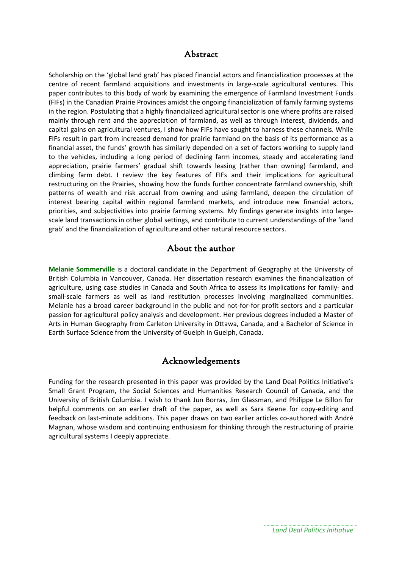#### Abstract

Scholarship on the 'global land grab' has placed financial actors and financialization processes at the centre of recent farmland acquisitions and investments in large-scale agricultural ventures. This paper contributes to this body of work by examining the emergence of Farmland Investment Funds (FIFs) in the Canadian Prairie Provinces amidst the ongoing financialization of family farming systems in the region. Postulating that a highly financialized agricultural sector is one where profits are raised mainly through rent and the appreciation of farmland, as well as through interest, dividends, and capital gains on agricultural ventures, I show how FIFs have sought to harness these channels. While FIFs result in part from increased demand for prairie farmland on the basis of its performance as a financial asset, the funds' growth has similarly depended on a set of factors working to supply land to the vehicles, including a long period of declining farm incomes, steady and accelerating land appreciation, prairie farmers' gradual shift towards leasing (rather than owning) farmland, and climbing farm debt. I review the key features of FIFs and their implications for agricultural restructuring on the Prairies, showing how the funds further concentrate farmland ownership, shift patterns of wealth and risk accrual from owning and using farmland, deepen the circulation of interest bearing capital within regional farmland markets, and introduce new financial actors, priorities, and subjectivities into prairie farming systems. My findings generate insights into largescale land transactions in other global settings, and contribute to current understandings of the 'land grab' and the financialization of agriculture and other natural resource sectors.

#### About the author

**Melanie Sommerville** is a doctoral candidate in the Department of Geography at the University of British Columbia in Vancouver, Canada. Her dissertation research examines the financialization of agriculture, using case studies in Canada and South Africa to assess its implications for family- and small-scale farmers as well as land restitution processes involving marginalized communities. Melanie has a broad career background in the public and not-for-for profit sectors and a particular passion for agricultural policy analysis and development. Her previous degrees included a Master of Arts in Human Geography from Carleton University in Ottawa, Canada, and a Bachelor of Science in Earth Surface Science from the University of Guelph in Guelph, Canada.

#### Acknowledgements

Funding for the research presented in this paper was provided by the Land Deal Politics Initiative's Small Grant Program, the Social Sciences and Humanities Research Council of Canada, and the University of British Columbia. I wish to thank Jun Borras, Jim Glassman, and Philippe Le Billon for helpful comments on an earlier draft of the paper, as well as Sara Keene for copy-editing and feedback on last-minute additions. This paper draws on two earlier articles co-authored with André Magnan, whose wisdom and continuing enthusiasm for thinking through the restructuring of prairie agricultural systems I deeply appreciate.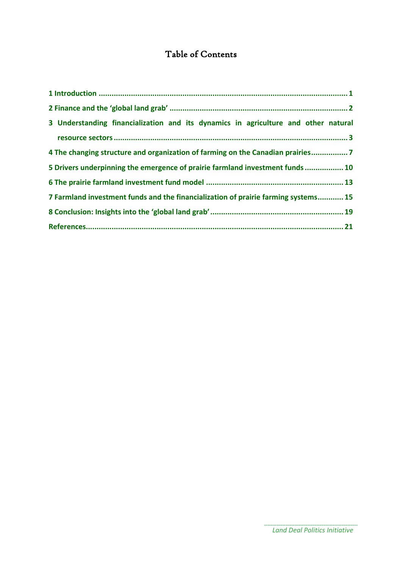### Table of Contents

| 3 Understanding financialization and its dynamics in agriculture and other natural |
|------------------------------------------------------------------------------------|
|                                                                                    |
| 4 The changing structure and organization of farming on the Canadian prairies7     |
| 5 Drivers underpinning the emergence of prairie farmland investment funds  10      |
|                                                                                    |
| 7 Farmland investment funds and the financialization of prairie farming systems 15 |
|                                                                                    |
|                                                                                    |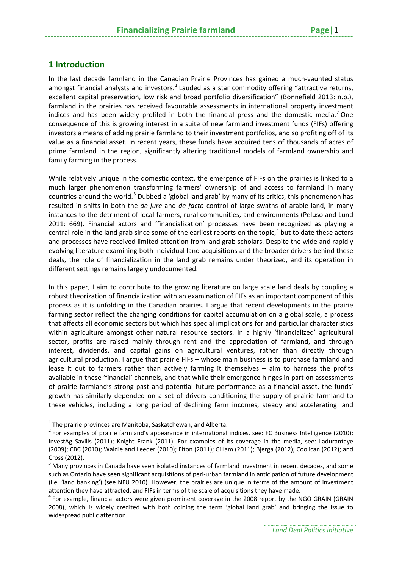#### <span id="page-4-0"></span>**1 Introduction**

In the last decade farmland in the Canadian Prairie Provinces has gained a much-vaunted status amongst financial analysts and investors.<sup>[1](#page-4-1)</sup> Lauded as a star commodity offering "attractive returns, excellent capital preservation, low risk and broad portfolio diversification" (Bonnefield 2013: n.p.), farmland in the prairies has received favourable assessments in international property investment indices and has been widely profiled in both the financial press and the domestic media.<sup>[2](#page-4-2)</sup> One consequence of this is growing interest in a suite of new farmland investment funds (FIFs) offering investors a means of adding prairie farmland to their investment portfolios, and so profiting off of its value as a financial asset. In recent years, these funds have acquired tens of thousands of acres of prime farmland in the region, significantly altering traditional models of farmland ownership and family farming in the process.

While relatively unique in the domestic context, the emergence of FIFs on the prairies is linked to a much larger phenomenon transforming farmers' ownership of and access to farmland in many countries around the world.<sup>[3](#page-4-3)</sup> Dubbed a 'global land grab' by many of its critics, this phenomenon has resulted in shifts in both the *de jure* and *de facto* control of large swaths of arable land, in many instances to the detriment of local farmers, rural communities, and environments (Peluso and Lund 2011: 669). Financial actors and 'financialization' processes have been recognized as playing a central role in the land grab since some of the earliest reports on the topic, $4$  but to date these actors and processes have received limited attention from land grab scholars. Despite the wide and rapidly evolving literature examining both individual land acquisitions and the broader drivers behind these deals, the role of financialization in the land grab remains under theorized, and its operation in different settings remains largely undocumented.

In this paper, I aim to contribute to the growing literature on large scale land deals by coupling a robust theorization of financialization with an examination of FIFs as an important component of this process as it is unfolding in the Canadian prairies. I argue that recent developments in the prairie farming sector reflect the changing conditions for capital accumulation on a global scale, a process that affects all economic sectors but which has special implications for and particular characteristics within agriculture amongst other natural resource sectors. In a highly 'financialized' agricultural sector, profits are raised mainly through rent and the appreciation of farmland, and through interest, dividends, and capital gains on agricultural ventures, rather than directly through agricultural production. I argue that prairie FIFs – whose main business is to purchase farmland and lease it out to farmers rather than actively farming it themselves – aim to harness the profits available in these 'financial' channels, and that while their emergence hinges in part on assessments of prairie farmland's strong past and potential future performance as a financial asset, the funds' growth has similarly depended on a set of drivers conditioning the supply of prairie farmland to these vehicles, including a long period of declining farm incomes, steady and accelerating land

**.** 

<span id="page-4-2"></span><span id="page-4-1"></span><sup>&</sup>lt;sup>1</sup> The prairie provinces are Manitoba, Saskatchewan, and Alberta.<br><sup>2</sup> For examples of prairie farmland's appearance in international indices, see: FC Business Intelligence (2010); InvestAg Savills (2011); Knight Frank (2011). For examples of its coverage in the media, see: Ladurantaye (2009); CBC (2010); Waldie and Leeder (2010); Elton (2011); Gillam (2011); Bjerga (2012); Coolican (2012); and Cross (2012).

<span id="page-4-3"></span> $3$  Many provinces in Canada have seen isolated instances of farmland investment in recent decades, and some such as Ontario have seen significant acquisitions of peri-urban farmland in anticipation of future development (i.e. 'land banking') (see NFU 2010). However, the prairies are unique in terms of the amount of investment attention they have attracted, and FIFs in terms of the scale of acquisitions they have made.

<span id="page-4-4"></span><sup>4</sup> For example, financial actors were given prominent coverage in the 2008 report by the NGO GRAIN (GRAIN 2008), which is widely credited with both coining the term 'global land grab' and bringing the issue to widespread public attention.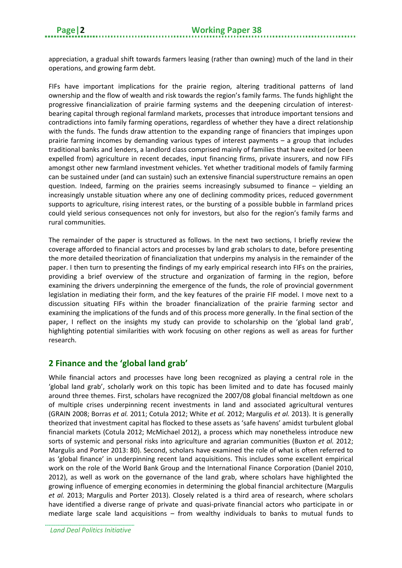appreciation, a gradual shift towards farmers leasing (rather than owning) much of the land in their operations, and growing farm debt.

FIFs have important implications for the prairie region, altering traditional patterns of land ownership and the flow of wealth and risk towards the region's family farms. The funds highlight the progressive financialization of prairie farming systems and the deepening circulation of interestbearing capital through regional farmland markets, processes that introduce important tensions and contradictions into family farming operations, regardless of whether they have a direct relationship with the funds. The funds draw attention to the expanding range of financiers that impinges upon prairie farming incomes by demanding various types of interest payments – a group that includes traditional banks and lenders, a landlord class comprised mainly of families that have exited (or been expelled from) agriculture in recent decades, input financing firms, private insurers, and now FIFs amongst other new farmland investment vehicles. Yet whether traditional models of family farming can be sustained under (and can sustain) such an extensive financial superstructure remains an open question. Indeed, farming on the prairies seems increasingly subsumed to finance – yielding an increasingly unstable situation where any one of declining commodity prices, reduced government supports to agriculture, rising interest rates, or the bursting of a possible bubble in farmland prices could yield serious consequences not only for investors, but also for the region's family farms and rural communities.

The remainder of the paper is structured as follows. In the next two sections, I briefly review the coverage afforded to financial actors and processes by land grab scholars to date, before presenting the more detailed theorization of financialization that underpins my analysis in the remainder of the paper. I then turn to presenting the findings of my early empirical research into FIFs on the prairies, providing a brief overview of the structure and organization of farming in the region, before examining the drivers underpinning the emergence of the funds, the role of provincial government legislation in mediating their form, and the key features of the prairie FIF model. I move next to a discussion situating FIFs within the broader financialization of the prairie farming sector and examining the implications of the funds and of this process more generally. In the final section of the paper, I reflect on the insights my study can provide to scholarship on the 'global land grab', highlighting potential similarities with work focusing on other regions as well as areas for further research.

#### <span id="page-5-0"></span>**2 Finance and the 'global land grab'**

While financial actors and processes have long been recognized as playing a central role in the 'global land grab', scholarly work on this topic has been limited and to date has focused mainly around three themes. First, scholars have recognized the 2007/08 global financial meltdown as one of multiple crises underpinning recent investments in land and associated agricultural ventures (GRAIN 2008; Borras *et al.* 2011; Cotula 2012; White *et al.* 2012; Margulis *et al.* 2013). It is generally theorized that investment capital has flocked to these assets as 'safe havens' amidst turbulent global financial markets (Cotula 2012; McMichael 2012), a process which may nonetheless introduce new sorts of systemic and personal risks into agriculture and agrarian communities (Buxton *et al.* 2012; Margulis and Porter 2013: 80). Second, scholars have examined the role of what is often referred to as 'global finance' in underpinning recent land acquisitions. This includes some excellent empirical work on the role of the World Bank Group and the International Finance Corporation (Daniel 2010, 2012), as well as work on the governance of the land grab, where scholars have highlighted the growing influence of emerging economies in determining the global financial architecture (Margulis *et al.* 2013; Margulis and Porter 2013). Closely related is a third area of research, where scholars have identified a diverse range of private and quasi-private financial actors who participate in or mediate large scale land acquisitions – from wealthy individuals to banks to mutual funds to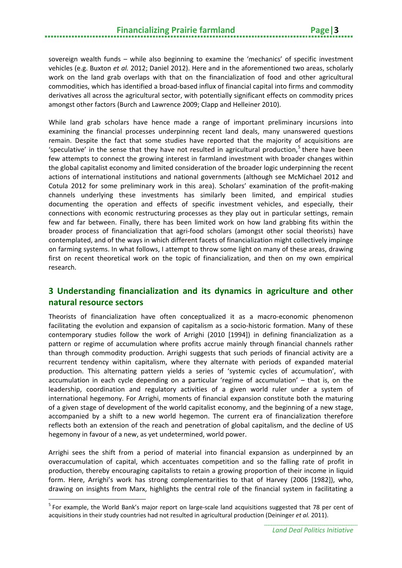sovereign wealth funds – while also beginning to examine the 'mechanics' of specific investment vehicles (e.g. Buxton *et al.* 2012; Daniel 2012). Here and in the aforementioned two areas, scholarly work on the land grab overlaps with that on the financialization of food and other agricultural commodities, which has identified a broad-based influx of financial capital into firms and commodity derivatives all across the agricultural sector, with potentially significant effects on commodity prices amongst other factors (Burch and Lawrence 2009; Clapp and Helleiner 2010).

While land grab scholars have hence made a range of important preliminary incursions into examining the financial processes underpinning recent land deals, many unanswered questions remain. Despite the fact that some studies have reported that the majority of acquisitions are 'speculative' in the sense that they have not resulted in agricultural production, $\frac{1}{2}$  there have been few attempts to connect the growing interest in farmland investment with broader changes within the global capitalist economy and limited consideration of the broader logic underpinning the recent actions of international institutions and national governments (although see McMichael 2012 and Cotula 2012 for some preliminary work in this area). Scholars' examination of the profit-making channels underlying these investments has similarly been limited, and empirical studies documenting the operation and effects of specific investment vehicles, and especially, their connections with economic restructuring processes as they play out in particular settings, remain few and far between. Finally, there has been limited work on how land grabbing fits within the broader process of financialization that agri-food scholars (amongst other social theorists) have contemplated, and of the ways in which different facets of financialization might collectively impinge on farming systems. In what follows, I attempt to throw some light on many of these areas, drawing first on recent theoretical work on the topic of financialization, and then on my own empirical research.

#### <span id="page-6-0"></span>**3 Understanding financialization and its dynamics in agriculture and other natural resource sectors**

Theorists of financialization have often conceptualized it as a macro-economic phenomenon facilitating the evolution and expansion of capitalism as a socio-historic formation. Many of these contemporary studies follow the work of Arrighi (2010 [1994]) in defining financialization as a pattern or regime of accumulation where profits accrue mainly through financial channels rather than through commodity production. Arrighi suggests that such periods of financial activity are a recurrent tendency within capitalism, where they alternate with periods of expanded material production. This alternating pattern yields a series of 'systemic cycles of accumulation', with accumulation in each cycle depending on a particular 'regime of accumulation' – that is, on the leadership, coordination and regulatory activities of a given world ruler under a system of international hegemony. For Arrighi, moments of financial expansion constitute both the maturing of a given stage of development of the world capitalist economy, and the beginning of a new stage, accompanied by a shift to a new world hegemon. The current era of financialization therefore reflects both an extension of the reach and penetration of global capitalism, and the decline of US hegemony in favour of a new, as yet undetermined, world power.

Arrighi sees the shift from a period of material into financial expansion as underpinned by an overaccumulation of capital, which accentuates competition and so the falling rate of profit in production, thereby encouraging capitalists to retain a growing proportion of their income in liquid form. Here, Arrighi's work has strong complementarities to that of Harvey (2006 [1982]), who, drawing on insights from Marx, highlights the central role of the financial system in facilitating a

 $\overline{a}$ 

<span id="page-6-1"></span><sup>&</sup>lt;sup>5</sup> For example, the World Bank's major report on large-scale land acquisitions suggested that 78 per cent of acquisitions in their study countries had not resulted in agricultural production (Deininger *et al.* 2011).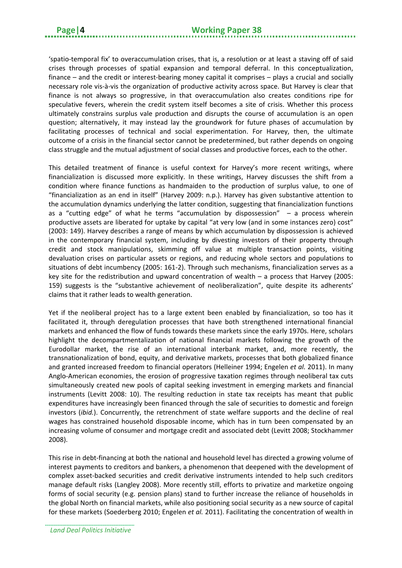'spatio-temporal fix' to overaccumulation crises, that is, a resolution or at least a staving off of said crises through processes of spatial expansion and temporal deferral. In this conceptualization, finance – and the credit or interest-bearing money capital it comprises – plays a crucial and socially necessary role vis-à-vis the organization of productive activity across space. But Harvey is clear that finance is not always so progressive, in that overaccumulation also creates conditions ripe for speculative fevers, wherein the credit system itself becomes a site of crisis. Whether this process ultimately constrains surplus vale production and disrupts the course of accumulation is an open question; alternatively, it may instead lay the groundwork for future phases of accumulation by facilitating processes of technical and social experimentation. For Harvey, then, the ultimate outcome of a crisis in the financial sector cannot be predetermined, but rather depends on ongoing class struggle and the mutual adjustment of social classes and productive forces, each to the other.

This detailed treatment of finance is useful context for Harvey's more recent writings, where financialization is discussed more explicitly. In these writings, Harvey discusses the shift from a condition where finance functions as handmaiden to the production of surplus value, to one of "financialization as an end in itself" (Harvey 2009: n.p.). Harvey has given substantive attention to the accumulation dynamics underlying the latter condition, suggesting that financialization functions as a "cutting edge" of what he terms "accumulation by dispossession"  $-$  a process wherein productive assets are liberated for uptake by capital "at very low (and in some instances zero) cost" (2003: 149). Harvey describes a range of means by which accumulation by dispossession is achieved in the contemporary financial system, including by divesting investors of their property through credit and stock manipulations, skimming off value at multiple transaction points, visiting devaluation crises on particular assets or regions, and reducing whole sectors and populations to situations of debt incumbency (2005: 161-2). Through such mechanisms, financialization serves as a key site for the redistribution and upward concentration of wealth – a process that Harvey (2005: 159) suggests is the "substantive achievement of neoliberalization", quite despite its adherents' claims that it rather leads to wealth generation.

Yet if the neoliberal project has to a large extent been enabled by financialization, so too has it facilitated it, through deregulation processes that have both strengthened international financial markets and enhanced the flow of funds towards these markets since the early 1970s. Here, scholars highlight the decompartmentalization of national financial markets following the growth of the Eurodollar market, the rise of an international interbank market, and, more recently, the transnationalization of bond, equity, and derivative markets, processes that both globalized finance and granted increased freedom to financial operators (Helleiner 1994; Engelen *et al.* 2011). In many Anglo-American economies, the erosion of progressive taxation regimes through neoliberal tax cuts simultaneously created new pools of capital seeking investment in emerging markets and financial instruments (Levitt 2008: 10). The resulting reduction in state tax receipts has meant that public expenditures have increasingly been financed through the sale of securities to domestic and foreign investors (*ibid.*). Concurrently, the retrenchment of state welfare supports and the decline of real wages has constrained household disposable income, which has in turn been compensated by an increasing volume of consumer and mortgage credit and associated debt (Levitt 2008; Stockhammer 2008).

This rise in debt-financing at both the national and household level has directed a growing volume of interest payments to creditors and bankers, a phenomenon that deepened with the development of complex asset-backed securities and credit derivative instruments intended to help such creditors manage default risks (Langley 2008). More recently still, efforts to privatize and marketize ongoing forms of social security (e.g. pension plans) stand to further increase the reliance of households in the global North on financial markets, while also positioning social security as a new source of capital for these markets (Soederberg 2010; Engelen *et al.* 2011). Facilitating the concentration of wealth in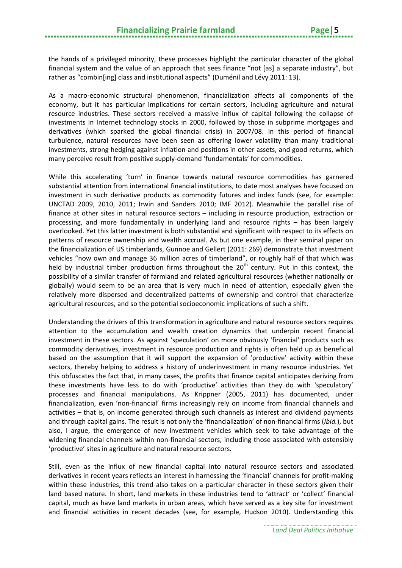the hands of a privileged minority, these processes highlight the particular character of the global financial system and the value of an approach that sees finance "not [as] a separate industry", but rather as "combin[ing] class and institutional aspects" (Duménil and Lévy 2011: 13).

As a macro-economic structural phenomenon, financialization affects all components of the economy, but it has particular implications for certain sectors, including agriculture and natural resource industries. These sectors received a massive influx of capital following the collapse of investments in Internet technology stocks in 2000, followed by those in subprime mortgages and derivatives (which sparked the global financial crisis) in 2007/08. In this period of financial turbulence, natural resources have been seen as offering lower volatility than many traditional investments, strong hedging against inflation and positions in other assets, and good returns, which many perceive result from positive supply-demand 'fundamentals' for commodities.

While this accelerating 'turn' in finance towards natural resource commodities has garnered substantial attention from international financial institutions, to date most analyses have focused on investment in such derivative products as commodity futures and index funds (see, for example: UNCTAD 2009, 2010, 2011; Irwin and Sanders 2010; IMF 2012). Meanwhile the parallel rise of finance at other sites in natural resource sectors – including in resource production, extraction or processing, and more fundamentally in underlying land and resource rights – has been largely overlooked. Yet this latter investment is both substantial and significant with respect to its effects on patterns of resource ownership and wealth accrual. As but one example, in their seminal paper on the financialization of US timberlands, Gunnoe and Gellert (2011: 269) demonstrate that investment vehicles "now own and manage 36 million acres of timberland", or roughly half of that which was held by industrial timber production firms throughout the 20<sup>th</sup> century. Put in this context, the possibility of a similar transfer of farmland and related agricultural resources (whether nationally or globally) would seem to be an area that is very much in need of attention, especially given the relatively more dispersed and decentralized patterns of ownership and control that characterize agricultural resources, and so the potential socioeconomic implications of such a shift.

Understanding the drivers of this transformation in agriculture and natural resource sectors requires attention to the accumulation and wealth creation dynamics that underpin recent financial investment in these sectors. As against 'speculation' on more obviously 'financial' products such as commodity derivatives, investment in resource production and rights is often held up as beneficial based on the assumption that it will support the expansion of 'productive' activity within these sectors, thereby helping to address a history of underinvestment in many resource industries. Yet this obfuscates the fact that, in many cases, the profits that finance capital anticipates deriving from these investments have less to do with 'productive' activities than they do with 'speculatory' processes and financial manipulations. As Krippner (2005, 2011) has documented, under financialization, even 'non-financial' firms increasingly rely on income from financial channels and activities – that is, on income generated through such channels as interest and dividend payments and through capital gains. The result is not only the 'financialization' of non-financial firms (*Ibid.*), but also, I argue, the emergence of new investment vehicles which seek to take advantage of the widening financial channels within non-financial sectors, including those associated with ostensibly 'productive' sites in agriculture and natural resource sectors.

Still, even as the influx of new financial capital into natural resource sectors and associated derivatives in recent years reflects an interest in harnessing the 'financial' channels for profit-making within these industries, this trend also takes on a particular character in these sectors given their land based nature. In short, land markets in these industries tend to 'attract' or 'collect' financial capital, much as have land markets in urban areas, which have served as a key site for investment and financial activities in recent decades (see, for example, Hudson 2010). Understanding this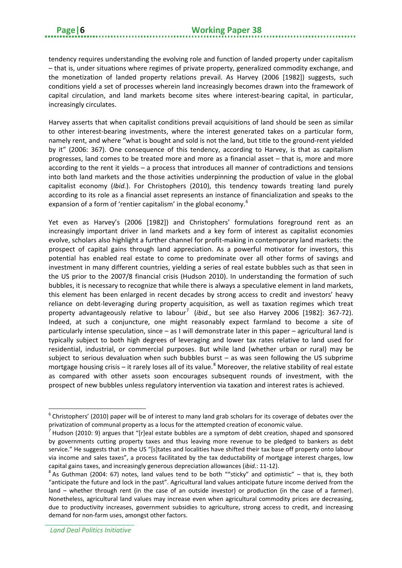tendency requires understanding the evolving role and function of landed property under capitalism – that is, under situations where regimes of private property, generalized commodity exchange, and the monetization of landed property relations prevail. As Harvey (2006 [1982]) suggests, such conditions yield a set of processes wherein land increasingly becomes drawn into the framework of capital circulation, and land markets become sites where interest-bearing capital, in particular, increasingly circulates.

Harvey asserts that when capitalist conditions prevail acquisitions of land should be seen as similar to other interest-bearing investments, where the interest generated takes on a particular form, namely rent, and where "what is bought and sold is not the land, but title to the ground-rent yielded by it" (2006: 367). One consequence of this tendency, according to Harvey, is that as capitalism progresses, land comes to be treated more and more as a financial asset – that is, more and more according to the rent it yields – a process that introduces all manner of contradictions and tensions into both land markets and the those activities underpinning the production of value in the global capitalist economy (*Ibid.*). For Christophers (2010), this tendency towards treating land purely according to its role as a financial asset represents an instance of financialization and speaks to the expansion of a form of 'rentier capitalism' in the global economy.<sup>[6](#page-9-0)</sup>

Yet even as Harvey's (2006 [1982]) and Christophers' formulations foreground rent as an increasingly important driver in land markets and a key form of interest as capitalist economies evolve, scholars also highlight a further channel for profit-making in contemporary land markets: the prospect of capital gains through land appreciation. As a powerful motivator for investors, this potential has enabled real estate to come to predominate over all other forms of savings and investment in many different countries, yielding a series of real estate bubbles such as that seen in the US prior to the 2007/8 financial crisis (Hudson 2010). In understanding the formation of such bubbles, it is necessary to recognize that while there is always a speculative element in land markets, this element has been enlarged in recent decades by strong access to credit and investors' heavy reliance on debt-leveraging during property acquisition, as well as taxation regimes which treat property advantageously relative to labour<sup>[7](#page-9-1)</sup> (*ibid.*, but see also Harvey 2006 [1982]: 367-72). Indeed, at such a conjuncture, one might reasonably expect farmland to become a site of particularly intense speculation, since – as I will demonstrate later in this paper – agricultural land is typically subject to both high degrees of leveraging and lower tax rates relative to land used for residential, industrial, or commercial purposes. But while land (whether urban or rural) may be subject to serious devaluation when such bubbles burst – as was seen following the US subprime mortgage housing crisis – it rarely loses all of its value.<sup>[8](#page-9-2)</sup> Moreover, the relative stability of real estate as compared with other assets soon encourages subsequent rounds of investment, with the prospect of new bubbles unless regulatory intervention via taxation and interest rates is achieved.

**.** 

<span id="page-9-0"></span> $6$  Christophers' (2010) paper will be of interest to many land grab scholars for its coverage of debates over the privatization of communal property as a locus for the attempted creation of economic value.

<span id="page-9-1"></span> $^7$  Hudson (2010: 9) argues that "[r]eal estate bubbles are a symptom of debt creation, shaped and sponsored by governments cutting property taxes and thus leaving more revenue to be pledged to bankers as debt service." He suggests that in the US "[s]tates and localities have shifted their tax base off property onto labour via income and sales taxes", a process facilitated by the tax deductability of mortgage interest charges, low capital gains taxes, and increasingly generous depreciation allowances (*ibid.*: 11-12).<br><sup>8</sup> As Guthman (2004: 67) notes, land values tend to be both ""sticky" and optimistic" – that is, they both

<span id="page-9-2"></span><sup>&</sup>quot;anticipate the future and lock in the past". Agricultural land values anticipate future income derived from the land – whether through rent (in the case of an outside investor) or production (in the case of a farmer). Nonetheless, agricultural land values may increase even when agricultural commodity prices are decreasing, due to productivity increases, government subsidies to agriculture, strong access to credit, and increasing demand for non-farm uses, amongst other factors.

*Land Deal Politics Initiative*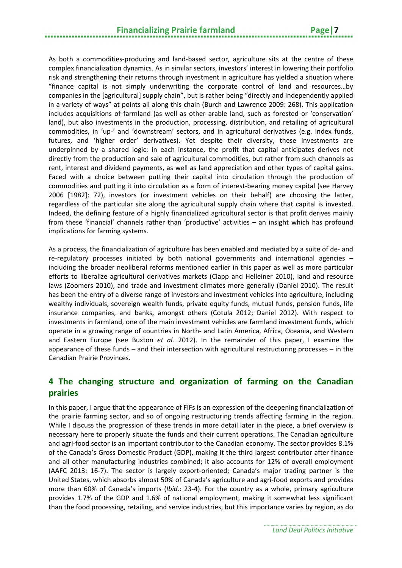As both a commodities-producing and land-based sector, agriculture sits at the centre of these complex financialization dynamics. As in similar sectors, investors' interest in lowering their portfolio risk and strengthening their returns through investment in agriculture has yielded a situation where "finance capital is not simply underwriting the corporate control of land and resources…by companies in the [agricultural] supply chain", but is rather being "directly and independently applied in a variety of ways" at points all along this chain (Burch and Lawrence 2009: 268). This application includes acquisitions of farmland (as well as other arable land, such as forested or 'conservation' land), but also investments in the production, processing, distribution, and retailing of agricultural commodities, in 'up-' and 'downstream' sectors, and in agricultural derivatives (e.g. index funds, futures, and 'higher order' derivatives). Yet despite their diversity, these investments are underpinned by a shared logic: in each instance, the profit that capital anticipates derives not directly from the production and sale of agricultural commodities, but rather from such channels as rent, interest and dividend payments, as well as land appreciation and other types of capital gains. Faced with a choice between putting their capital into circulation through the production of commodities and putting it into circulation as a form of interest-bearing money capital (see Harvey 2006 [1982]: 72), investors (or investment vehicles on their behalf) are choosing the latter, regardless of the particular site along the agricultural supply chain where that capital is invested. Indeed, the defining feature of a highly financialized agricultural sector is that profit derives mainly from these 'financial' channels rather than 'productive' activities – an insight which has profound implications for farming systems.

As a process, the financialization of agriculture has been enabled and mediated by a suite of de- and re-regulatory processes initiated by both national governments and international agencies – including the broader neoliberal reforms mentioned earlier in this paper as well as more particular efforts to liberalize agricultural derivatives markets (Clapp and Helleiner 2010), land and resource laws (Zoomers 2010), and trade and investment climates more generally (Daniel 2010). The result has been the entry of a diverse range of investors and investment vehicles into agriculture, including wealthy individuals, sovereign wealth funds, private equity funds, mutual funds, pension funds, life insurance companies, and banks, amongst others (Cotula 2012; Daniel 2012). With respect to investments in farmland, one of the main investment vehicles are farmland investment funds, which operate in a growing range of countries in North- and Latin America, Africa, Oceania, and Western and Eastern Europe (see Buxton *et al.* 2012). In the remainder of this paper, I examine the appearance of these funds – and their intersection with agricultural restructuring processes – in the Canadian Prairie Provinces.

#### <span id="page-10-0"></span>**4 The changing structure and organization of farming on the Canadian prairies**

In this paper, I argue that the appearance of FIFs is an expression of the deepening financialization of the prairie farming sector, and so of ongoing restructuring trends affecting farming in the region. While I discuss the progression of these trends in more detail later in the piece, a brief overview is necessary here to properly situate the funds and their current operations. The Canadian agriculture and agri-food sector is an important contributor to the Canadian economy. The sector provides 8.1% of the Canada's Gross Domestic Product (GDP), making it the third largest contributor after finance and all other manufacturing industries combined; it also accounts for 12% of overall employment (AAFC 2013: 16-7). The sector is largely export-oriented; Canada's major trading partner is the United States, which absorbs almost 50% of Canada's agriculture and agri-food exports and provides more than 60% of Canada's imports (*Ibid.*: 23-4). For the country as a whole, primary agriculture provides 1.7% of the GDP and 1.6% of national employment, making it somewhat less significant than the food processing, retailing, and service industries, but this importance varies by region, as do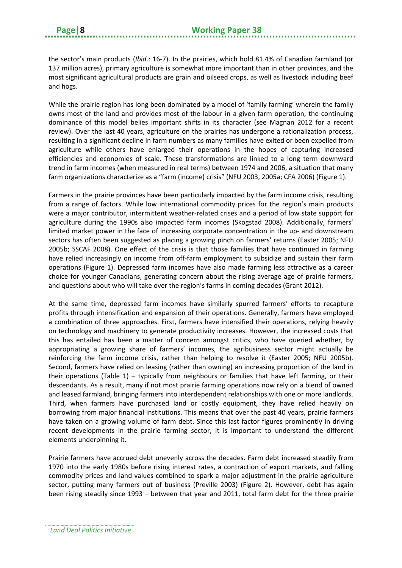the sector's main products (*Ibid*.: 16-7). In the prairies, which hold 81.4% of Canadian farmland (or 137 million acres), primary agriculture is somewhat more important than in other provinces, and the most significant agricultural products are grain and oilseed crops, as well as livestock including beef and hogs.

While the prairie region has long been dominated by a model of 'family farming' wherein the family owns most of the land and provides most of the labour in a given farm operation, the continuing dominance of this model belies important shifts in its character (see Magnan 2012 for a recent review). Over the last 40 years, agriculture on the prairies has undergone a rationalization process, resulting in a significant decline in farm numbers as many families have exited or been expelled from agriculture while others have enlarged their operations in the hopes of capturing increased efficiencies and economies of scale. These transformations are linked to a long term downward trend in farm incomes (when measured in real terms) between 1974 and 2006, a situation that many farm organizations characterize as a "farm (income) crisis" (NFU 2003, 2005a; CFA 2006) (Figure 1).

Farmers in the prairie provinces have been particularly impacted by the farm income crisis, resulting from a range of factors. While low international commodity prices for the region's main products were a major contributor, intermittent weather-related crises and a period of low state support for agriculture during the 1990s also impacted farm incomes (Skogstad 2008). Additionally, farmers' limited market power in the face of increasing corporate concentration in the up- and downstream sectors has often been suggested as placing a growing pinch on farmers' returns (Easter 2005; NFU 2005b; SSCAF 2008). One effect of the crisis is that those families that have continued in farming have relied increasingly on income from off-farm employment to subsidize and sustain their farm operations (Figure 1). Depressed farm incomes have also made farming less attractive as a career choice for younger Canadians, generating concern about the rising average age of prairie farmers, and questions about who will take over the region's farms in coming decades (Grant 2012).

At the same time, depressed farm incomes have similarly spurred farmers' efforts to recapture profits through intensification and expansion of their operations. Generally, farmers have employed a combination of three approaches. First, farmers have intensified their operations, relying heavily on technology and machinery to generate productivity increases. However, the increased costs that this has entailed has been a matter of concern amongst critics, who have queried whether, by appropriating a growing share of farmers' incomes, the agribusiness sector might actually be reinforcing the farm income crisis, rather than helping to resolve it (Easter 2005; NFU 2005b). Second, farmers have relied on leasing (rather than owning) an increasing proportion of the land in their operations (Table 1) – typically from neighbours or families that have left farming, or their descendants. As a result, many if not most prairie farming operations now rely on a blend of owned and leased farmland, bringing farmers into interdependent relationships with one or more landlords. Third, when farmers have purchased land or costly equipment, they have relied heavily on borrowing from major financial institutions. This means that over the past 40 years, prairie farmers have taken on a growing volume of farm debt. Since this last factor figures prominently in driving recent developments in the prairie farming sector, it is important to understand the different elements underpinning it.

Prairie farmers have accrued debt unevenly across the decades. Farm debt increased steadily from 1970 into the early 1980s before rising interest rates, a contraction of export markets, and falling commodity prices and land values combined to spark a major adjustment in the prairie agriculture sector, putting many farmers out of business (Preville 2003) (Figure 2). However, debt has again been rising steadily since 1993 – between that year and 2011, total farm debt for the three prairie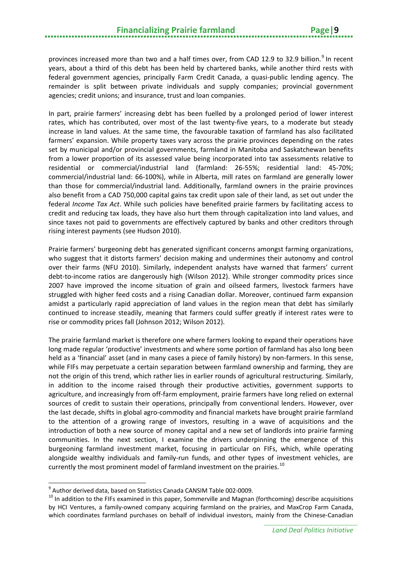provinces increased more than two and a half times over, from CAD 12.[9](#page-12-0) to 32.9 billion.<sup>9</sup> In recent years, about a third of this debt has been held by chartered banks, while another third rests with federal government agencies, principally Farm Credit Canada, a quasi-public lending agency. The remainder is split between private individuals and supply companies; provincial government agencies; credit unions; and insurance, trust and loan companies.

In part, prairie farmers' increasing debt has been fuelled by a prolonged period of lower interest rates, which has contributed, over most of the last twenty-five years, to a moderate but steady increase in land values. At the same time, the favourable taxation of farmland has also facilitated farmers' expansion. While property taxes vary across the prairie provinces depending on the rates set by municipal and/or provincial governments, farmland in Manitoba and Saskatchewan benefits from a lower proportion of its assessed value being incorporated into tax assessments relative to residential or commercial/industrial land (farmland: 26-55%; residential land: 45-70%; commercial/industrial land: 66-100%), while in Alberta, mill rates on farmland are generally lower than those for commercial/industrial land. Additionally, farmland owners in the prairie provinces also benefit from a CAD 750,000 capital gains tax credit upon sale of their land, as set out under the federal *Income Tax Act*. While such policies have benefited prairie farmers by facilitating access to credit and reducing tax loads, they have also hurt them through capitalization into land values, and since taxes not paid to governments are effectively captured by banks and other creditors through rising interest payments (see Hudson 2010).

Prairie farmers' burgeoning debt has generated significant concerns amongst farming organizations, who suggest that it distorts farmers' decision making and undermines their autonomy and control over their farms (NFU 2010). Similarly, independent analysts have warned that farmers' current debt-to-income ratios are dangerously high (Wilson 2012). While stronger commodity prices since 2007 have improved the income situation of grain and oilseed farmers, livestock farmers have struggled with higher feed costs and a rising Canadian dollar. Moreover, continued farm expansion amidst a particularly rapid appreciation of land values in the region mean that debt has similarly continued to increase steadily, meaning that farmers could suffer greatly if interest rates were to rise or commodity prices fall (Johnson 2012; Wilson 2012).

The prairie farmland market is therefore one where farmers looking to expand their operations have long made regular 'productive' investments and where some portion of farmland has also long been held as a 'financial' asset (and in many cases a piece of family history) by non-farmers. In this sense, while FIFs may perpetuate a certain separation between farmland ownership and farming, they are not the origin of this trend, which rather lies in earlier rounds of agricultural restructuring. Similarly, in addition to the income raised through their productive activities, government supports to agriculture, and increasingly from off-farm employment, prairie farmers have long relied on external sources of credit to sustain their operations, principally from conventional lenders. However, over the last decade, shifts in global agro-commodity and financial markets have brought prairie farmland to the attention of a growing range of investors, resulting in a wave of acquisitions and the introduction of both a new source of money capital and a new set of landlords into prairie farming communities. In the next section, I examine the drivers underpinning the emergence of this burgeoning farmland investment market, focusing in particular on FIFs, which, while operating alongside wealthy individuals and family-run funds, and other types of investment vehicles, are currently the most prominent model of farmland investment on the prairies.<sup>[10](#page-12-1)</sup>

**.** 

<span id="page-12-1"></span><span id="page-12-0"></span><sup>&</sup>lt;sup>9</sup> Author derived data, based on Statistics Canada CANSIM Table 002-0009.<br><sup>10</sup> In addition to the FIFs examined in this paper, Sommerville and Magnan (forthcoming) describe acquisitions by HCI Ventures, a family-owned company acquiring farmland on the prairies, and MaxCrop Farm Canada, which coordinates farmland purchases on behalf of individual investors, mainly from the Chinese-Canadian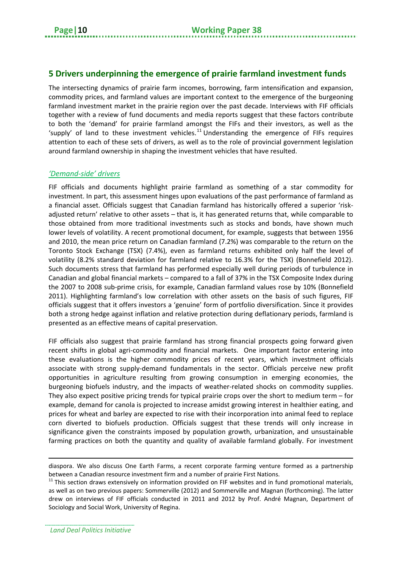#### <span id="page-13-0"></span>**5 Drivers underpinning the emergence of prairie farmland investment funds**

The intersecting dynamics of prairie farm incomes, borrowing, farm intensification and expansion, commodity prices, and farmland values are important context to the emergence of the burgeoning farmland investment market in the prairie region over the past decade. Interviews with FIF officials together with a review of fund documents and media reports suggest that these factors contribute to both the 'demand' for prairie farmland amongst the FIFs and their investors, as well as the 'supply' of land to these investment vehicles.<sup>[11](#page-13-1)</sup> Understanding the emergence of FIFs requires attention to each of these sets of drivers, as well as to the role of provincial government legislation around farmland ownership in shaping the investment vehicles that have resulted.

#### *'Demand-side' drivers*

FIF officials and documents highlight prairie farmland as something of a star commodity for investment. In part, this assessment hinges upon evaluations of the past performance of farmland as a financial asset. Officials suggest that Canadian farmland has historically offered a superior 'riskadjusted return' relative to other assets – that is, it has generated returns that, while comparable to those obtained from more traditional investments such as stocks and bonds, have shown much lower levels of volatility. A recent promotional document, for example, suggests that between 1956 and 2010, the mean price return on Canadian farmland (7.2%) was comparable to the return on the Toronto Stock Exchange (TSX) (7.4%), even as farmland returns exhibited only half the level of volatility (8.2% standard deviation for farmland relative to 16.3% for the TSX) (Bonnefield 2012). Such documents stress that farmland has performed especially well during periods of turbulence in Canadian and global financial markets – compared to a fall of 37% in the TSX Composite Index during the 2007 to 2008 sub-prime crisis, for example, Canadian farmland values rose by 10% (Bonnefield 2011). Highlighting farmland's low correlation with other assets on the basis of such figures, FIF officials suggest that it offers investors a 'genuine' form of portfolio diversification. Since it provides both a strong hedge against inflation and relative protection during deflationary periods, farmland is presented as an effective means of capital preservation.

FIF officials also suggest that prairie farmland has strong financial prospects going forward given recent shifts in global agri-commodity and financial markets. One important factor entering into these evaluations is the higher commodity prices of recent years, which investment officials associate with strong supply-demand fundamentals in the sector. Officials perceive new profit opportunities in agriculture resulting from growing consumption in emerging economies, the burgeoning biofuels industry, and the impacts of weather-related shocks on commodity supplies. They also expect positive pricing trends for typical prairie crops over the short to medium term – for example, demand for canola is projected to increase amidst growing interest in healthier eating, and prices for wheat and barley are expected to rise with their incorporation into animal feed to replace corn diverted to biofuels production. Officials suggest that these trends will only increase in significance given the constraints imposed by population growth, urbanization, and unsustainable farming practices on both the quantity and quality of available farmland globally. For investment

 $\overline{a}$ 

diaspora. We also discuss One Earth Farms, a recent corporate farming venture formed as a partnership

<span id="page-13-1"></span>between a Canadian resource investment firm and a number of prairie First Nations.<br><sup>11</sup> This section draws extensively on information provided on FIF websites and in fund promotional materials, as well as on two previous papers: Sommerville (2012) and Sommerville and Magnan (forthcoming). The latter drew on interviews of FIF officials conducted in 2011 and 2012 by Prof. André Magnan, Department of Sociology and Social Work, University of Regina.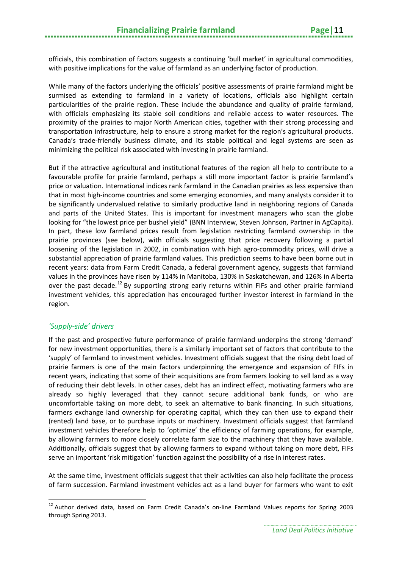officials, this combination of factors suggests a continuing 'bull market' in agricultural commodities, with positive implications for the value of farmland as an underlying factor of production.

While many of the factors underlying the officials' positive assessments of prairie farmland might be surmised as extending to farmland in a variety of locations, officials also highlight certain particularities of the prairie region. These include the abundance and quality of prairie farmland, with officials emphasizing its stable soil conditions and reliable access to water resources. The proximity of the prairies to major North American cities, together with their strong processing and transportation infrastructure, help to ensure a strong market for the region's agricultural products. Canada's trade-friendly business climate, and its stable political and legal systems are seen as minimizing the political risk associated with investing in prairie farmland.

But if the attractive agricultural and institutional features of the region all help to contribute to a favourable profile for prairie farmland, perhaps a still more important factor is prairie farmland's price or valuation. International indices rank farmland in the Canadian prairies as less expensive than that in most high-income countries and some emerging economies, and many analysts consider it to be significantly undervalued relative to similarly productive land in neighboring regions of Canada and parts of the United States. This is important for investment managers who scan the globe looking for "the lowest price per bushel yield" (BNN Interview, Steven Johnson, Partner in AgCapita). In part, these low farmland prices result from legislation restricting farmland ownership in the prairie provinces (see below), with officials suggesting that price recovery following a partial loosening of the legislation in 2002, in combination with high agro-commodity prices, will drive a substantial appreciation of prairie farmland values. This prediction seems to have been borne out in recent years: data from Farm Credit Canada, a federal government agency, suggests that farmland values in the provinces have risen by 114% in Manitoba, 130% in Saskatchewan, and 126% in Alberta over the past decade.<sup>[12](#page-14-0)</sup> By supporting strong early returns within FIFs and other prairie farmland investment vehicles, this appreciation has encouraged further investor interest in farmland in the region.

#### *'Supply-side' drivers*

 $\overline{a}$ 

If the past and prospective future performance of prairie farmland underpins the strong 'demand' for new investment opportunities, there is a similarly important set of factors that contribute to the 'supply' of farmland to investment vehicles. Investment officials suggest that the rising debt load of prairie farmers is one of the main factors underpinning the emergence and expansion of FIFs in recent years, indicating that some of their acquisitions are from farmers looking to sell land as a way of reducing their debt levels. In other cases, debt has an indirect effect, motivating farmers who are already so highly leveraged that they cannot secure additional bank funds, or who are uncomfortable taking on more debt, to seek an alternative to bank financing. In such situations, farmers exchange land ownership for operating capital, which they can then use to expand their (rented) land base, or to purchase inputs or machinery. Investment officials suggest that farmland investment vehicles therefore help to 'optimize' the efficiency of farming operations, for example, by allowing farmers to more closely correlate farm size to the machinery that they have available. Additionally, officials suggest that by allowing farmers to expand without taking on more debt, FIFs serve an important 'risk mitigation' function against the possibility of a rise in interest rates.

At the same time, investment officials suggest that their activities can also help facilitate the process of farm succession. Farmland investment vehicles act as a land buyer for farmers who want to exit

<span id="page-14-0"></span> $12$  Author derived data, based on Farm Credit Canada's on-line Farmland Values reports for Spring 2003 through Spring 2013.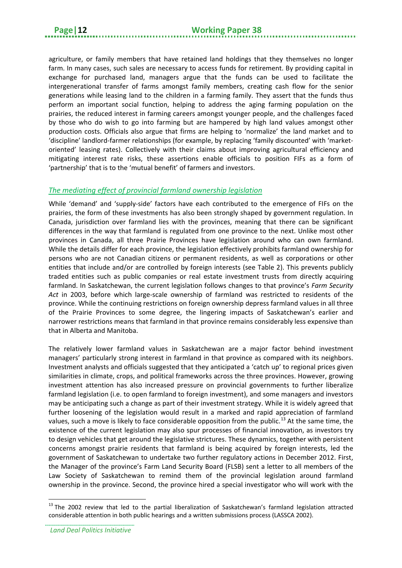agriculture, or family members that have retained land holdings that they themselves no longer farm. In many cases, such sales are necessary to access funds for retirement. By providing capital in exchange for purchased land, managers argue that the funds can be used to facilitate the intergenerational transfer of farms amongst family members, creating cash flow for the senior generations while leasing land to the children in a farming family. They assert that the funds thus perform an important social function, helping to address the aging farming population on the prairies, the reduced interest in farming careers amongst younger people, and the challenges faced by those who do wish to go into farming but are hampered by high land values amongst other production costs. Officials also argue that firms are helping to 'normalize' the land market and to 'discipline' landlord-farmer relationships (for example, by replacing 'family discounted' with 'marketoriented' leasing rates). Collectively with their claims about improving agricultural efficiency and mitigating interest rate risks, these assertions enable officials to position FIFs as a form of 'partnership' that is to the 'mutual benefit' of farmers and investors.

#### *The mediating effect of provincial farmland ownership legislation*

While 'demand' and 'supply-side' factors have each contributed to the emergence of FIFs on the prairies, the form of these investments has also been strongly shaped by government regulation. In Canada, jurisdiction over farmland lies with the provinces, meaning that there can be significant differences in the way that farmland is regulated from one province to the next. Unlike most other provinces in Canada, all three Prairie Provinces have legislation around who can own farmland. While the details differ for each province, the legislation effectively prohibits farmland ownership for persons who are not Canadian citizens or permanent residents, as well as corporations or other entities that include and/or are controlled by foreign interests (see Table 2). This prevents publicly traded entities such as public companies or real estate investment trusts from directly acquiring farmland. In Saskatchewan, the current legislation follows changes to that province's *Farm Security Act* in 2003, before which large-scale ownership of farmland was restricted to residents of the province. While the continuing restrictions on foreign ownership depress farmland values in all three of the Prairie Provinces to some degree, the lingering impacts of Saskatchewan's earlier and narrower restrictions means that farmland in that province remains considerably less expensive than that in Alberta and Manitoba.

The relatively lower farmland values in Saskatchewan are a major factor behind investment managers' particularly strong interest in farmland in that province as compared with its neighbors. Investment analysts and officials suggested that they anticipated a 'catch up' to regional prices given similarities in climate, crops, and political frameworks across the three provinces. However, growing investment attention has also increased pressure on provincial governments to further liberalize farmland legislation (i.e. to open farmland to foreign investment), and some managers and investors may be anticipating such a change as part of their investment strategy. While it is widely agreed that further loosening of the legislation would result in a marked and rapid appreciation of farmland values, such a move is likely to face considerable opposition from the public.<sup>[13](#page-15-0)</sup> At the same time, the existence of the current legislation may also spur processes of financial innovation, as investors try to design vehicles that get around the legislative strictures. These dynamics, together with persistent concerns amongst prairie residents that farmland is being acquired by foreign interests, led the government of Saskatchewan to undertake two further regulatory actions in December 2012. First, the Manager of the province's Farm Land Security Board (FLSB) sent a letter to all members of the Law Society of Saskatchewan to remind them of the provincial legislation around farmland ownership in the province. Second, the province hired a special investigator who will work with the

 $\overline{a}$ 

<span id="page-15-0"></span><sup>&</sup>lt;sup>13</sup> The 2002 review that led to the partial liberalization of Saskatchewan's farmland legislation attracted considerable attention in both public hearings and a written submissions process (LASSCA 2002).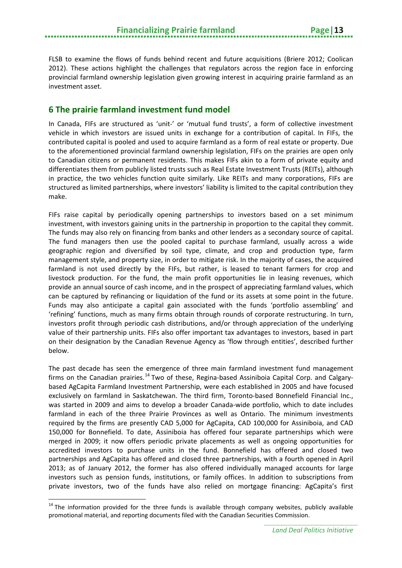FLSB to examine the flows of funds behind recent and future acquisitions (Briere 2012; Coolican 2012). These actions highlight the challenges that regulators across the region face in enforcing provincial farmland ownership legislation given growing interest in acquiring prairie farmland as an investment asset.

#### <span id="page-16-0"></span>**6 The prairie farmland investment fund model**

In Canada, FIFs are structured as 'unit-' or 'mutual fund trusts', a form of collective investment vehicle in which investors are issued units in exchange for a contribution of capital. In FIFs, the contributed capital is pooled and used to acquire farmland as a form of real estate or property. Due to the aforementioned provincial farmland ownership legislation, FIFs on the prairies are open only to Canadian citizens or permanent residents. This makes FIFs akin to a form of private equity and differentiates them from publicly listed trusts such as Real Estate Investment Trusts (REITs), although in practice, the two vehicles function quite similarly. Like REITs and many corporations, FIFs are structured as limited partnerships, where investors' liability is limited to the capital contribution they make.

FIFs raise capital by periodically opening partnerships to investors based on a set minimum investment, with investors gaining units in the partnership in proportion to the capital they commit. The funds may also rely on financing from banks and other lenders as a secondary source of capital. The fund managers then use the pooled capital to purchase farmland, usually across a wide geographic region and diversified by soil type, climate, and crop and production type, farm management style, and property size, in order to mitigate risk. In the majority of cases, the acquired farmland is not used directly by the FIFs, but rather, is leased to tenant farmers for crop and livestock production. For the fund, the main profit opportunities lie in leasing revenues, which provide an annual source of cash income, and in the prospect of appreciating farmland values, which can be captured by refinancing or liquidation of the fund or its assets at some point in the future. Funds may also anticipate a capital gain associated with the funds 'portfolio assembling' and 'refining' functions, much as many firms obtain through rounds of corporate restructuring. In turn, investors profit through periodic cash distributions, and/or through appreciation of the underlying value of their partnership units. FIFs also offer important tax advantages to investors, based in part on their designation by the Canadian Revenue Agency as 'flow through entities', described further below.

The past decade has seen the emergence of three main farmland investment fund management firms on the Canadian prairies.<sup>[14](#page-16-1)</sup> Two of these, Regina-based Assiniboia Capital Corp. and Calgarybased AgCapita Farmland Investment Partnership, were each established in 2005 and have focused exclusively on farmland in Saskatchewan. The third firm, Toronto-based Bonnefield Financial Inc., was started in 2009 and aims to develop a broader Canada-wide portfolio, which to date includes farmland in each of the three Prairie Provinces as well as Ontario. The minimum investments required by the firms are presently CAD 5,000 for AgCapita, CAD 100,000 for Assiniboia, and CAD 150,000 for Bonnefield. To date, Assiniboia has offered four separate partnerships which were merged in 2009; it now offers periodic private placements as well as ongoing opportunities for accredited investors to purchase units in the fund. Bonnefield has offered and closed two partnerships and AgCapita has offered and closed three partnerships, with a fourth opened in April 2013; as of January 2012, the former has also offered individually managed accounts for large investors such as pension funds, institutions, or family offices. In addition to subscriptions from private investors, two of the funds have also relied on mortgage financing: AgCapita's first

 $\overline{a}$ 

<span id="page-16-1"></span><sup>&</sup>lt;sup>14</sup> The information provided for the three funds is available through company websites, publicly available promotional material, and reporting documents filed with the Canadian Securities Commission.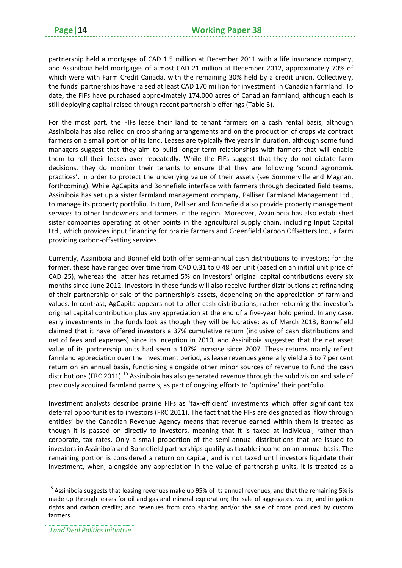partnership held a mortgage of CAD 1.5 million at December 2011 with a life insurance company, and Assiniboia held mortgages of almost CAD 21 million at December 2012, approximately 70% of which were with Farm Credit Canada, with the remaining 30% held by a credit union. Collectively, the funds' partnerships have raised at least CAD 170 million for investment in Canadian farmland. To date, the FIFs have purchased approximately 174,000 acres of Canadian farmland, although each is still deploying capital raised through recent partnership offerings (Table 3).

For the most part, the FIFs lease their land to tenant farmers on a cash rental basis, although Assiniboia has also relied on crop sharing arrangements and on the production of crops via contract farmers on a small portion of its land. Leases are typically five years in duration, although some fund managers suggest that they aim to build longer-term relationships with farmers that will enable them to roll their leases over repeatedly. While the FIFs suggest that they do not dictate farm decisions, they do monitor their tenants to ensure that they are following 'sound agronomic practices', in order to protect the underlying value of their assets (see Sommerville and Magnan, forthcoming). While AgCapita and Bonnefield interface with farmers through dedicated field teams, Assiniboia has set up a sister farmland management company, Palliser Farmland Management Ltd., to manage its property portfolio. In turn, Palliser and Bonnefield also provide property management services to other landowners and farmers in the region. Moreover, Assiniboia has also established sister companies operating at other points in the agricultural supply chain, including Input Capital Ltd., which provides input financing for prairie farmers and Greenfield Carbon Offsetters Inc., a farm providing carbon-offsetting services.

Currently, Assiniboia and Bonnefield both offer semi-annual cash distributions to investors; for the former, these have ranged over time from CAD 0.31 to 0.48 per unit (based on an initial unit price of CAD 25), whereas the latter has returned 5% on investors' original capital contributions every six months since June 2012. Investors in these funds will also receive further distributions at refinancing of their partnership or sale of the partnership's assets, depending on the appreciation of farmland values. In contrast, AgCapita appears not to offer cash distributions, rather returning the investor's original capital contribution plus any appreciation at the end of a five-year hold period. In any case, early investments in the funds look as though they will be lucrative: as of March 2013, Bonnefield claimed that it have offered investors a 37% cumulative return (inclusive of cash distributions and net of fees and expenses) since its inception in 2010, and Assiniboia suggested that the net asset value of its partnership units had seen a 107% increase since 2007. These returns mainly reflect farmland appreciation over the investment period, as lease revenues generally yield a 5 to 7 per cent return on an annual basis, functioning alongside other minor sources of revenue to fund the cash distributions (FRC 2011).<sup>[15](#page-17-0)</sup> Assiniboia has also generated revenue through the subdivision and sale of previously acquired farmland parcels, as part of ongoing efforts to 'optimize' their portfolio.

Investment analysts describe prairie FIFs as 'tax-efficient' investments which offer significant tax deferral opportunities to investors (FRC 2011). The fact that the FIFs are designated as 'flow through entities' by the Canadian Revenue Agency means that revenue earned within them is treated as though it is passed on directly to investors, meaning that it is taxed at individual, rather than corporate, tax rates. Only a small proportion of the semi-annual distributions that are issued to investors in Assiniboia and Bonnefield partnerships qualify as taxable income on an annual basis. The remaining portion is considered a return on capital, and is not taxed until investors liquidate their investment, when, alongside any appreciation in the value of partnership units, it is treated as a

**.** 

<span id="page-17-0"></span> $15$  Assiniboia suggests that leasing revenues make up 95% of its annual revenues, and that the remaining 5% is made up through leases for oil and gas and mineral exploration; the sale of aggregates, water, and irrigation rights and carbon credits; and revenues from crop sharing and/or the sale of crops produced by custom farmers.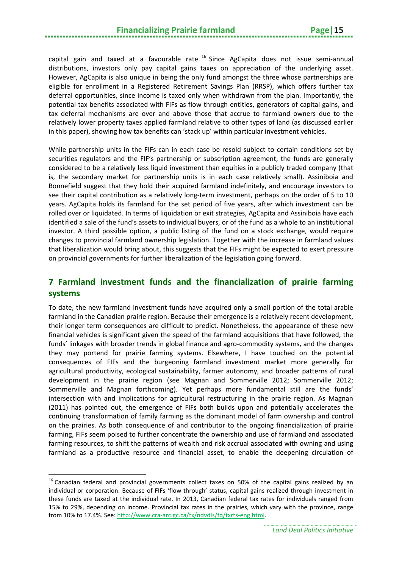#### **Financializing Prairie farmland Page|15**

capital gain and taxed at a favourable rate.<sup>[16](#page-18-1)</sup> Since AgCapita does not issue semi-annual distributions, investors only pay capital gains taxes on appreciation of the underlying asset. However, AgCapita is also unique in being the only fund amongst the three whose partnerships are eligible for enrollment in a Registered Retirement Savings Plan (RRSP), which offers further tax deferral opportunities, since income is taxed only when withdrawn from the plan. Importantly, the potential tax benefits associated with FIFs as flow through entities, generators of capital gains, and tax deferral mechanisms are over and above those that accrue to farmland owners due to the relatively lower property taxes applied farmland relative to other types of land (as discussed earlier in this paper), showing how tax benefits can 'stack up' within particular investment vehicles.

While partnership units in the FIFs can in each case be resold subject to certain conditions set by securities regulators and the FIF's partnership or subscription agreement, the funds are generally considered to be a relatively less liquid investment than equities in a publicly traded company (that is, the secondary market for partnership units is in each case relatively small). Assiniboia and Bonnefield suggest that they hold their acquired farmland indefinitely, and encourage investors to see their capital contribution as a relatively long-term investment, perhaps on the order of 5 to 10 years. AgCapita holds its farmland for the set period of five years, after which investment can be rolled over or liquidated. In terms of liquidation or exit strategies, AgCapita and Assiniboia have each identified a sale of the fund's assets to individual buyers, or of the fund as a whole to an institutional investor. A third possible option, a public listing of the fund on a stock exchange, would require changes to provincial farmland ownership legislation. Together with the increase in farmland values that liberalization would bring about, this suggests that the FIFs might be expected to exert pressure on provincial governments for further liberalization of the legislation going forward.

#### <span id="page-18-0"></span>**7 Farmland investment funds and the financialization of prairie farming systems**

To date, the new farmland investment funds have acquired only a small portion of the total arable farmland in the Canadian prairie region. Because their emergence is a relatively recent development, their longer term consequences are difficult to predict. Nonetheless, the appearance of these new financial vehicles is significant given the speed of the farmland acquisitions that have followed, the funds' linkages with broader trends in global finance and agro-commodity systems, and the changes they may portend for prairie farming systems. Elsewhere, I have touched on the potential consequences of FIFs and the burgeoning farmland investment market more generally for agricultural productivity, ecological sustainability, farmer autonomy, and broader patterns of rural development in the prairie region (see Magnan and Sommerville 2012; Sommerville 2012; Sommerville and Magnan forthcoming). Yet perhaps more fundamental still are the funds' intersection with and implications for agricultural restructuring in the prairie region. As Magnan (2011) has pointed out, the emergence of FIFs both builds upon and potentially accelerates the continuing transformation of family farming as the dominant model of farm ownership and control on the prairies. As both consequence of and contributor to the ongoing financialization of prairie farming, FIFs seem poised to further concentrate the ownership and use of farmland and associated farming resources, to shift the patterns of wealth and risk accrual associated with owning and using farmland as a productive resource and financial asset, to enable the deepening circulation of

 $\overline{a}$ 

<span id="page-18-1"></span><sup>&</sup>lt;sup>16</sup> Canadian federal and provincial governments collect taxes on 50% of the capital gains realized by an individual or corporation. Because of FIFs 'flow-through' status, capital gains realized through investment in these funds are taxed at the individual rate. In 2013, Canadian federal tax rates for individuals ranged from 15% to 29%, depending on income. Provincial tax rates in the prairies, which vary with the province, range from 10% to 17.4%. See[: http://www.cra-arc.gc.ca/tx/ndvdls/fq/txrts-eng.html.](http://www.cra-arc.gc.ca/tx/ndvdls/fq/txrts-eng.html)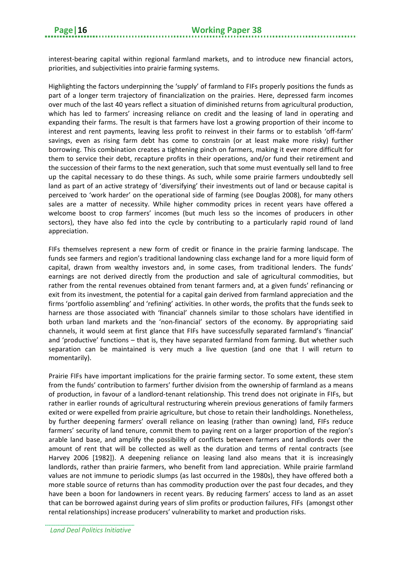interest-bearing capital within regional farmland markets, and to introduce new financial actors, priorities, and subjectivities into prairie farming systems.

Highlighting the factors underpinning the 'supply' of farmland to FIFs properly positions the funds as part of a longer term trajectory of financialization on the prairies. Here, depressed farm incomes over much of the last 40 years reflect a situation of diminished returns from agricultural production, which has led to farmers' increasing reliance on credit and the leasing of land in operating and expanding their farms. The result is that farmers have lost a growing proportion of their income to interest and rent payments, leaving less profit to reinvest in their farms or to establish 'off-farm' savings, even as rising farm debt has come to constrain (or at least make more risky) further borrowing. This combination creates a tightening pinch on farmers, making it ever more difficult for them to service their debt, recapture profits in their operations, and/or fund their retirement and the succession of their farms to the next generation, such that some must eventually sell land to free up the capital necessary to do these things. As such, while some prairie farmers undoubtedly sell land as part of an active strategy of 'diversifying' their investments out of land or because capital is perceived to 'work harder' on the operational side of farming (see Douglas 2008), for many others sales are a matter of necessity. While higher commodity prices in recent years have offered a welcome boost to crop farmers' incomes (but much less so the incomes of producers in other sectors), they have also fed into the cycle by contributing to a particularly rapid round of land appreciation.

FIFs themselves represent a new form of credit or finance in the prairie farming landscape. The funds see farmers and region's traditional landowning class exchange land for a more liquid form of capital, drawn from wealthy investors and, in some cases, from traditional lenders. The funds' earnings are not derived directly from the production and sale of agricultural commodities, but rather from the rental revenues obtained from tenant farmers and, at a given funds' refinancing or exit from its investment, the potential for a capital gain derived from farmland appreciation and the firms 'portfolio assembling' and 'refining' activities. In other words, the profits that the funds seek to harness are those associated with 'financial' channels similar to those scholars have identified in both urban land markets and the 'non-financial' sectors of the economy. By appropriating said channels, it would seem at first glance that FIFs have successfully separated farmland's 'financial' and 'productive' functions – that is, they have separated farmland from farming. But whether such separation can be maintained is very much a live question (and one that I will return to momentarily).

Prairie FIFs have important implications for the prairie farming sector. To some extent, these stem from the funds' contribution to farmers' further division from the ownership of farmland as a means of production, in favour of a landlord-tenant relationship. This trend does not originate in FIFs, but rather in earlier rounds of agricultural restructuring wherein previous generations of family farmers exited or were expelled from prairie agriculture, but chose to retain their landholdings. Nonetheless, by further deepening farmers' overall reliance on leasing (rather than owning) land, FIFs reduce farmers' security of land tenure, commit them to paying rent on a larger proportion of the region's arable land base, and amplify the possibility of conflicts between farmers and landlords over the amount of rent that will be collected as well as the duration and terms of rental contracts (see Harvey 2006 [1982]). A deepening reliance on leasing land also means that it is increasingly landlords, rather than prairie farmers, who benefit from land appreciation. While prairie farmland values are not immune to periodic slumps (as last occurred in the 1980s), they have offered both a more stable source of returns than has commodity production over the past four decades, and they have been a boon for landowners in recent years. By reducing farmers' access to land as an asset that can be borrowed against during years of slim profits or production failures, FIFs (amongst other rental relationships) increase producers' vulnerability to market and production risks.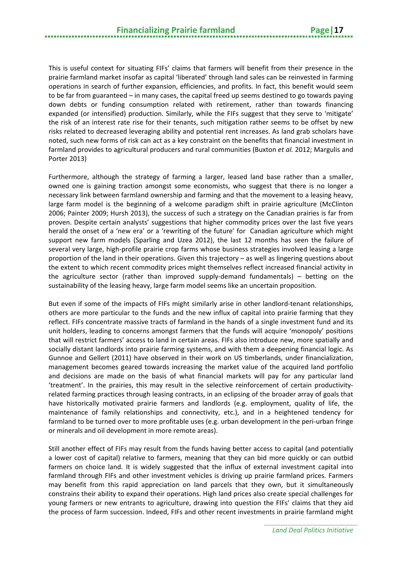This is useful context for situating FIFs' claims that farmers will benefit from their presence in the prairie farmland market insofar as capital 'liberated' through land sales can be reinvested in farming operations in search of further expansion, efficiencies, and profits. In fact, this benefit would seem to be far from guaranteed – in many cases, the capital freed up seems destined to go towards paying down debts or funding consumption related with retirement, rather than towards financing expanded (or intensified) production. Similarly, while the FIFs suggest that they serve to 'mitigate' the risk of an interest rate rise for their tenants, such mitigation rather seems to be offset by new risks related to decreased leveraging ability and potential rent increases. As land grab scholars have noted, such new forms of risk can act as a key constraint on the benefits that financial investment in farmland provides to agricultural producers and rural communities (Buxton *et al.* 2012; Margulis and Porter 2013)

Furthermore, although the strategy of farming a larger, leased land base rather than a smaller, owned one is gaining traction amongst some economists, who suggest that there is no longer a necessary link between farmland ownership and farming and that the movement to a leasing heavy, large farm model is the beginning of a welcome paradigm shift in prairie agriculture (McClinton 2006; Painter 2009; Hursh 2013), the success of such a strategy on the Canadian prairies is far from proven. Despite certain analysts' suggestions that higher commodity prices over the last five years herald the onset of a 'new era' or a 'rewriting of the future' for Canadian agriculture which might support new farm models (Sparling and Uzea 2012), the last 12 months has seen the failure of several very large, high-profile prairie crop farms whose business strategies involved leasing a large proportion of the land in their operations. Given this trajectory – as well as lingering questions about the extent to which recent commodity prices might themselves reflect increased financial activity in the agriculture sector (rather than improved supply-demand fundamentals) – betting on the sustainability of the leasing heavy, large farm model seems like an uncertain proposition.

But even if some of the impacts of FIFs might similarly arise in other landlord-tenant relationships, others are more particular to the funds and the new influx of capital into prairie farming that they reflect. FIFs concentrate massive tracts of farmland in the hands of a single investment fund and its unit holders, leading to concerns amongst farmers that the funds will acquire 'monopoly' positions that will restrict farmers' access to land in certain areas. FIFs also introduce new, more spatially and socially distant landlords into prairie farming systems, and with them a deepening financial logic. As Gunnoe and Gellert (2011) have observed in their work on US timberlands, under financialization, management becomes geared towards increasing the market value of the acquired land portfolio and decisions are made on the basis of what financial markets will pay for any particular land 'treatment'. In the prairies, this may result in the selective reinforcement of certain productivityrelated farming practices through leasing contracts, in an eclipsing of the broader array of goals that have historically motivated prairie farmers and landlords (e.g. employment, quality of life, the maintenance of family relationships and connectivity, etc.), and in a heightened tendency for farmland to be turned over to more profitable uses (e.g. urban development in the peri-urban fringe or minerals and oil development in more remote areas).

Still another effect of FIFs may result from the funds having better access to capital (and potentially a lower cost of capital) relative to farmers, meaning that they can bid more quickly or can outbid farmers on choice land. It is widely suggested that the influx of external investment capital into farmland through FIFs and other investment vehicles is driving up prairie farmland prices. Farmers may benefit from this rapid appreciation on land parcels that they own, but it simultaneously constrains their ability to expand their operations. High land prices also create special challenges for young farmers or new entrants to agriculture, drawing into question the FIFs' claims that they aid the process of farm succession. Indeed, FIFs and other recent investments in prairie farmland might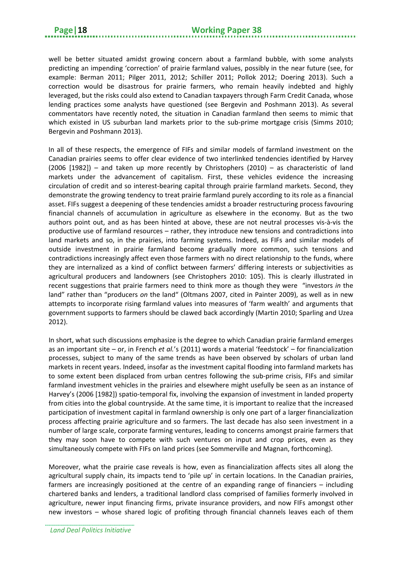well be better situated amidst growing concern about a farmland bubble, with some analysts predicting an impending 'correction' of prairie farmland values, possibly in the near future (see, for example: Berman 2011; Pilger 2011, 2012; Schiller 2011; Pollok 2012; Doering 2013). Such a correction would be disastrous for prairie farmers, who remain heavily indebted and highly leveraged, but the risks could also extend to Canadian taxpayers through Farm Credit Canada, whose lending practices some analysts have questioned (see Bergevin and Poshmann 2013). As several commentators have recently noted, the situation in Canadian farmland then seems to mimic that which existed in US suburban land markets prior to the sub-prime mortgage crisis (Simms 2010; Bergevin and Poshmann 2013).

In all of these respects, the emergence of FIFs and similar models of farmland investment on the Canadian prairies seems to offer clear evidence of two interlinked tendencies identified by Harvey (2006 [1982]) – and taken up more recently by Christophers (2010) – as characteristic of land markets under the advancement of capitalism. First, these vehicles evidence the increasing circulation of credit and so interest-bearing capital through prairie farmland markets. Second, they demonstrate the growing tendency to treat prairie farmland purely according to its role as a financial asset. FIFs suggest a deepening of these tendencies amidst a broader restructuring process favouring financial channels of accumulation in agriculture as elsewhere in the economy. But as the two authors point out, and as has been hinted at above, these are not neutral processes vis-à-vis the productive use of farmland resources – rather, they introduce new tensions and contradictions into land markets and so, in the prairies, into farming systems. Indeed, as FIFs and similar models of outside investment in prairie farmland become gradually more common, such tensions and contradictions increasingly affect even those farmers with no direct relationship to the funds, where they are internalized as a kind of conflict between farmers' differing interests or subjectivities as agricultural producers and landowners (see Christophers 2010: 105). This is clearly illustrated in recent suggestions that prairie farmers need to think more as though they were "investors *in* the land" rather than "producers *on* the land" (Oltmans 2007, cited in Painter 2009), as well as in new attempts to incorporate rising farmland values into measures of 'farm wealth' and arguments that government supports to farmers should be clawed back accordingly (Martin 2010; Sparling and Uzea 2012).

In short, what such discussions emphasize is the degree to which Canadian prairie farmland emerges as an important site – or, in French *et al.*'s (2011) words a material 'feedstock' – for financialization processes, subject to many of the same trends as have been observed by scholars of urban land markets in recent years. Indeed, insofar as the investment capital flooding into farmland markets has to some extent been displaced from urban centres following the sub-prime crisis, FIFs and similar farmland investment vehicles in the prairies and elsewhere might usefully be seen as an instance of Harvey's (2006 [1982]) spatio-temporal fix, involving the expansion of investment in landed property from cities into the global countryside. At the same time, it is important to realize that the increased participation of investment capital in farmland ownership is only one part of a larger financialization process affecting prairie agriculture and so farmers. The last decade has also seen investment in a number of large scale, corporate farming ventures, leading to concerns amongst prairie farmers that they may soon have to compete with such ventures on input and crop prices, even as they simultaneously compete with FIFs on land prices (see Sommerville and Magnan, forthcoming).

Moreover, what the prairie case reveals is how, even as financialization affects sites all along the agricultural supply chain, its impacts tend to 'pile up' in certain locations. In the Canadian prairies, farmers are increasingly positioned at the centre of an expanding range of financiers – including chartered banks and lenders, a traditional landlord class comprised of families formerly involved in agriculture, newer input financing firms, private insurance providers, and now FIFs amongst other new investors – whose shared logic of profiting through financial channels leaves each of them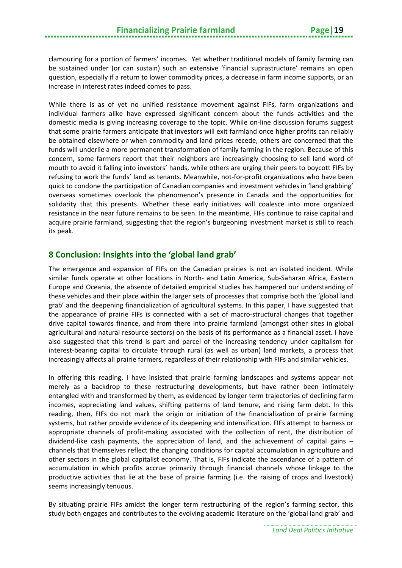clamouring for a portion of farmers' incomes. Yet whether traditional models of family farming can be sustained under (or can sustain) such an extensive 'financial suprastructure' remains an open question, especially if a return to lower commodity prices, a decrease in farm income supports, or an increase in interest rates indeed comes to pass.

While there is as of yet no unified resistance movement against FIFs, farm organizations and individual farmers alike have expressed significant concern about the funds activities and the domestic media is giving increasing coverage to the topic. While on-line discussion forums suggest that some prairie farmers anticipate that investors will exit farmland once higher profits can reliably be obtained elsewhere or when commodity and land prices recede, others are concerned that the funds will underlie a more permanent transformation of family farming in the region. Because of this concern, some farmers report that their neighbors are increasingly choosing to sell land word of mouth to avoid it falling into investors' hands, while others are urging their peers to boycott FIFs by refusing to work the funds' land as tenants. Meanwhile, not-for-profit organizations who have been quick to condone the participation of Canadian companies and investment vehicles in 'land grabbing' overseas sometimes overlook the phenomenon's presence in Canada and the opportunities for solidarity that this presents. Whether these early initiatives will coalesce into more organized resistance in the near future remains to be seen. In the meantime, FIFs continue to raise capital and acquire prairie farmland, suggesting that the region's burgeoning investment market is still to reach its peak.

#### <span id="page-22-0"></span>**8 Conclusion: Insights into the 'global land grab'**

The emergence and expansion of FIFs on the Canadian prairies is not an isolated incident. While similar funds operate at other locations in North- and Latin America, Sub-Saharan Africa, Eastern Europe and Oceania, the absence of detailed empirical studies has hampered our understanding of these vehicles and their place within the larger sets of processes that comprise both the 'global land grab' and the deepening financialization of agricultural systems. In this paper, I have suggested that the appearance of prairie FIFs is connected with a set of macro-structural changes that together drive capital towards finance, and from there into prairie farmland (amongst other sites in global agricultural and natural resource sectors) on the basis of its performance as a financial asset. I have also suggested that this trend is part and parcel of the increasing tendency under capitalism for interest-bearing capital to circulate through rural (as well as urban) land markets, a process that increasingly affects all prairie farmers, regardless of their relationship with FIFs and similar vehicles.

In offering this reading, I have insisted that prairie farming landscapes and systems appear not merely as a backdrop to these restructuring developments, but have rather been intimately entangled with and transformed by them, as evidenced by longer term trajectories of declining farm incomes, appreciating land values, shifting patterns of land tenure, and rising farm debt. In this reading, then, FIFs do not mark the origin or initiation of the financialization of prairie farming systems, but rather provide evidence of its deepening and intensification. FIFs attempt to harness or appropriate channels of profit-making associated with the collection of rent, the distribution of dividend-like cash payments, the appreciation of land, and the achievement of capital gains – channels that themselves reflect the changing conditions for capital accumulation in agriculture and other sectors in the global capitalist economy. That is, FIFs indicate the ascendance of a pattern of accumulation in which profits accrue primarily through financial channels whose linkage to the productive activities that lie at the base of prairie farming (i.e. the raising of crops and livestock) seems increasingly tenuous.

By situating prairie FIFs amidst the longer term restructuring of the region's farming sector, this study both engages and contributes to the evolving academic literature on the 'global land grab' and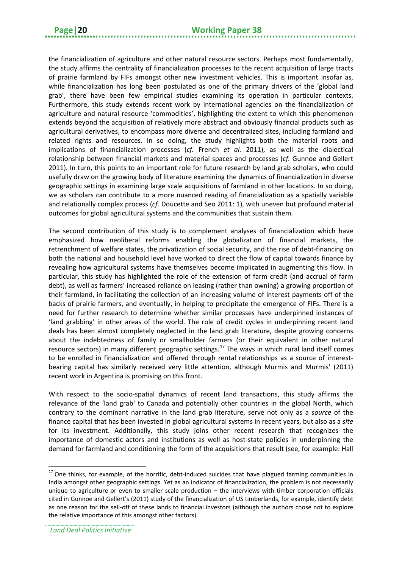the financialization of agriculture and other natural resource sectors. Perhaps most fundamentally, the study affirms the centrality of financialization processes to the recent acquisition of large tracts of prairie farmland by FIFs amongst other new investment vehicles. This is important insofar as, while financialization has long been postulated as one of the primary drivers of the 'global land grab', there have been few empirical studies examining its operation in particular contexts. Furthermore, this study extends recent work by international agencies on the financialization of agriculture and natural resource 'commodities', highlighting the extent to which this phenomenon extends beyond the acquisition of relatively more abstract and obviously financial products such as agricultural derivatives, to encompass more diverse and decentralized sites, including farmland and related rights and resources. In so doing, the study highlights both the material roots and implications of financialization processes (*cf.* French *et al.* 2011), as well as the dialectical relationship between financial markets and material spaces and processes (*cf.* Gunnoe and Gellert 2011). In turn, this points to an important role for future research by land grab scholars, who could usefully draw on the growing body of literature examining the dynamics of financialization in diverse geographic settings in examining large scale acquisitions of farmland in other locations. In so doing, we as scholars can contribute to a more nuanced reading of financialization as a spatially variable and relationally complex process (*cf.* Doucette and Seo 2011: 1), with uneven but profound material outcomes for global agricultural systems and the communities that sustain them.

The second contribution of this study is to complement analyses of financialization which have emphasized how neoliberal reforms enabling the globalization of financial markets, the retrenchment of welfare states, the privatization of social security, and the rise of debt-financing on both the national and household level have worked to direct the flow of capital towards finance by revealing how agricultural systems have themselves become implicated in augmenting this flow. In particular, this study has highlighted the role of the extension of farm credit (and accrual of farm debt), as well as farmers' increased reliance on leasing (rather than owning) a growing proportion of their farmland, in facilitating the collection of an increasing volume of interest payments off of the backs of prairie farmers, and eventually, in helping to precipitate the emergence of FIFs. There is a need for further research to determine whether similar processes have underpinned instances of 'land grabbing' in other areas of the world. The role of credit cycles in underpinning recent land deals has been almost completely neglected in the land grab literature, despite growing concerns about the indebtedness of family or smallholder farmers (or their equivalent in other natural resource sectors) in many different geographic settings.<sup>[17](#page-23-0)</sup> The ways in which rural land itself comes to be enrolled in financialization and offered through rental relationships as a source of interestbearing capital has similarly received very little attention, although Murmis and Murmis' (2011) recent work in Argentina is promising on this front.

With respect to the socio-spatial dynamics of recent land transactions, this study affirms the relevance of the 'land grab' to Canada and potentially other countries in the global North, which contrary to the dominant narrative in the land grab literature, serve not only as a *source* of the finance capital that has been invested in global agricultural systems in recent years, but also as a *site* for its investment. Additionally, this study joins other recent research that recognizes the importance of domestic actors and institutions as well as host-state policies in underpinning the demand for farmland and conditioning the form of the acquisitions that result (see, for example: Hall

**.** 

<span id="page-23-0"></span> $17$  One thinks, for example, of the horrific, debt-induced suicides that have plagued farming communities in India amongst other geographic settings. Yet as an indicator of financialization, the problem is not necessarily unique to agriculture or even to smaller scale production – the interviews with timber corporation officials cited in Gunnoe and Gellert's (2011) study of the financialization of US timberlands, for example, identify debt as one reason for the sell-off of these lands to financial investors (although the authors chose not to explore the relative importance of this amongst other factors).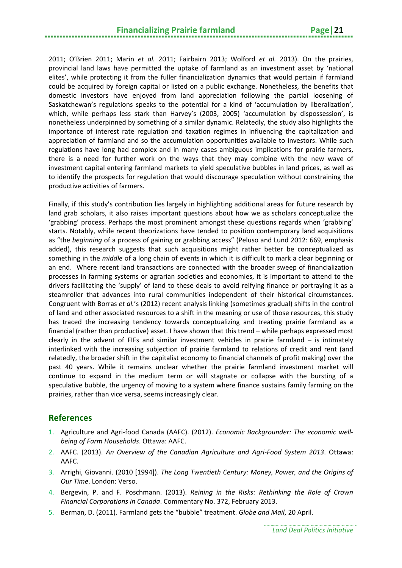2011; O'Brien 2011; Marin *et al.* 2011; Fairbairn 2013; Wolford *et al.* 2013). On the prairies, provincial land laws have permitted the uptake of farmland as an investment asset by 'national elites', while protecting it from the fuller financialization dynamics that would pertain if farmland could be acquired by foreign capital or listed on a public exchange. Nonetheless, the benefits that domestic investors have enjoyed from land appreciation following the partial loosening of Saskatchewan's regulations speaks to the potential for a kind of 'accumulation by liberalization', which, while perhaps less stark than Harvey's (2003, 2005) 'accumulation by dispossession', is nonetheless underpinned by something of a similar dynamic. Relatedly, the study also highlights the importance of interest rate regulation and taxation regimes in influencing the capitalization and appreciation of farmland and so the accumulation opportunities available to investors. While such regulations have long had complex and in many cases ambiguous implications for prairie farmers, there is a need for further work on the ways that they may combine with the new wave of investment capital entering farmland markets to yield speculative bubbles in land prices, as well as to identify the prospects for regulation that would discourage speculation without constraining the productive activities of farmers.

Finally, if this study's contribution lies largely in highlighting additional areas for future research by land grab scholars, it also raises important questions about how we as scholars conceptualize the 'grabbing' process. Perhaps the most prominent amongst these questions regards when 'grabbing' starts. Notably, while recent theorizations have tended to position contemporary land acquisitions as "the *beginning* of a process of gaining or grabbing access" (Peluso and Lund 2012: 669, emphasis added), this research suggests that such acquisitions might rather better be conceptualized as something in the *middle* of a long chain of events in which it is difficult to mark a clear beginning or an end. Where recent land transactions are connected with the broader sweep of financialization processes in farming systems or agrarian societies and economies, it is important to attend to the drivers facilitating the 'supply' of land to these deals to avoid reifying finance or portraying it as a steamroller that advances into rural communities independent of their historical circumstances. Congruent with Borras *et al.*'s (2012) recent analysis linking (sometimes gradual) shifts in the control of land and other associated resources to a shift in the meaning or use of those resources, this study has traced the increasing tendency towards conceptualizing and treating prairie farmland as a financial (rather than productive) asset. I have shown that this trend – while perhaps expressed most clearly in the advent of FIFs and similar investment vehicles in prairie farmland  $-$  is intimately interlinked with the increasing subjection of prairie farmland to relations of credit and rent (and relatedly, the broader shift in the capitalist economy to financial channels of profit making) over the past 40 years. While it remains unclear whether the prairie farmland investment market will continue to expand in the medium term or will stagnate or collapse with the bursting of a speculative bubble, the urgency of moving to a system where finance sustains family farming on the prairies, rather than vice versa, seems increasingly clear.

#### <span id="page-24-0"></span>**References**

- 1. Agriculture and Agri-food Canada (AAFC). (2012). *Economic Backgrounder: The economic wellbeing of Farm Households*. Ottawa: AAFC.
- 2. AAFC. (2013). *An Overview of the Canadian Agriculture and Agri-Food System 2013*. Ottawa: AAFC.
- 3. Arrighi, Giovanni. (2010 [1994]). *The Long Twentieth Century: Money, Power, and the Origins of Our Time*. London: Verso.
- 4. Bergevin, P. and F. Poschmann. (2013). *Reining in the Risks: Rethinking the Role of Crown Financial Corporations in Canada*. Commentary No. 372, February 2013.
- 5. Berman, D. (2011). Farmland gets the "bubble" treatment. *Globe and Mail*, 20 April.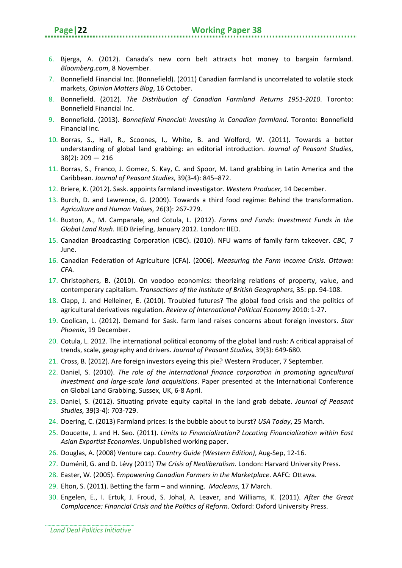- 6. Bjerga, A. (2012). Canada's new corn belt attracts hot money to bargain farmland. *Bloomberg.com*, 8 November.
- 7. Bonnefield Financial Inc. (Bonnefield). (2011) Canadian farmland is uncorrelated to volatile stock markets, *Opinion Matters Blog*, 16 October.
- 8. Bonnefield. (2012). *The Distribution of Canadian Farmland Returns 1951-2010*. Toronto: Bonnefield Financial Inc.
- 9. Bonnefield. (2013). *Bonnefield Financial: Investing in Canadian farmland*. Toronto: Bonnefield Financial Inc.
- 10. Borras, S., Hall, R., Scoones, I., White, B. and Wolford, W. (2011). Towards a better understanding of global land grabbing: an editorial introduction. *Journal of Peasant Studies*, 38(2): 209 — 216
- 11. Borras, S., Franco, J. Gomez, S. Kay, C. and Spoor, M. Land grabbing in Latin America and the Caribbean. *Journal of Peasant Studies*, 39(3-4): 845–872.
- 12. Briere, K. (2012). Sask. appoints farmland investigator. *Western Producer,* 14 December.
- 13. Burch, D. and Lawrence, G. (2009). Towards a third food regime: Behind the transformation. *Agriculture and Human Values,* 26(3): 267-279.
- 14. Buxton, A., M. Campanale, and Cotula, L. (2012). *Farms and Funds: Investment Funds in the Global Land Rush.* IIED Briefing, January 2012. London: IIED.
- 15. Canadian Broadcasting Corporation (CBC). (2010). NFU warns of family farm takeover. *CBC*, 7 June.
- 16. Canadian Federation of Agriculture (CFA). (2006). *Measuring the Farm Income Crisis. Ottawa: CFA.*
- 17. Christophers, B. (2010). On voodoo economics: theorizing relations of property, value, and contemporary capitalism. *Transactions of the Institute of British Geographers,* 35: pp. 94-108.
- 18. Clapp, J. and Helleiner, E. (2010). Troubled futures? The global food crisis and the politics of agricultural derivatives regulation. *Review of International Political Economy* 2010: 1-27.
- 19. Coolican, L. (2012). Demand for Sask. farm land raises concerns about foreign investors. *Star Phoenix*, 19 December.
- 20. Cotula, L. 2012. The international political economy of the global land rush: A critical appraisal of trends, scale, geography and drivers. *Journal of Peasant Studies,* 39(3): 649-680.
- 21. Cross, B. (2012). Are foreign investors eyeing this pie? Western Producer, 7 September.
- 22. Daniel, S. (2010). *The role of the international finance corporation in promoting agricultural investment and large-scale land acquisitions*. Paper presented at the International Conference on Global Land Grabbing, Sussex, UK, 6-8 April.
- 23. Daniel, S. (2012). Situating private equity capital in the land grab debate. *Journal of Peasant Studies,* 39(3-4): 703-729.
- 24. Doering, C. (2013) Farmland prices: Is the bubble about to burst? *USA Today*, 25 March.
- 25. Doucette, J. and H. Seo. (2011). *Limits to Financialization? Locating Financialization within East Asian Exportist Economies*. Unpublished working paper.
- 26. Douglas, A. (2008) Venture cap. *Country Guide (Western Edition)*, Aug-Sep, 12-16.
- 27. Duménil, G. and D. Lévy (2011) *The Crisis of Neoliberalism*. London: Harvard University Press.
- 28. Easter, W. (2005). *Empowering Canadian Farmers in the Marketplace*. AAFC: Ottawa.
- 29. Elton, S. (2011). Betting the farm and winning. *Macleans*, 17 March.
- 30. Engelen, E., I. Ertuk, J. Froud, S. Johal, A. Leaver, and Williams, K. (2011). *After the Great Complacence: Financial Crisis and the Politics of Reform*. Oxford: Oxford University Press.

*Land Deal Politics Initiative*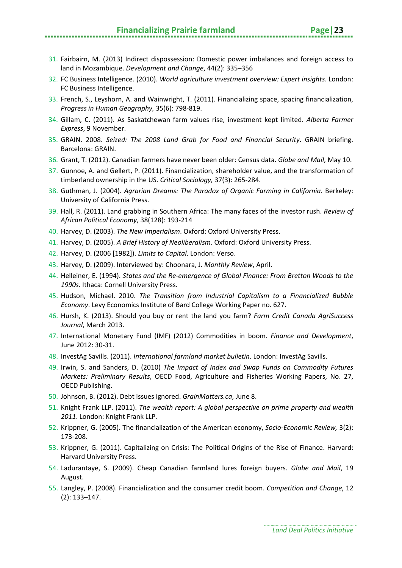#### **Financializing Prairie farmland Page|23**

- 31. Fairbairn, M. (2013) Indirect dispossession: Domestic power imbalances and foreign access to land in Mozambique. *Development and Change*, 44(2): 335–356
- 32. FC Business Intelligence. (2010). *World agriculture investment overview: Expert insights*. London: FC Business Intelligence.
- 33. French, S., Leyshorn, A. and Wainwright, T. (2011). Financializing space, spacing financialization, *Progress in Human Geography,* 35(6): 798-819.
- 34. Gillam, C. (2011). As Saskatchewan farm values rise, investment kept limited. *Alberta Farmer Express*, 9 November.
- 35. GRAIN. 2008. *Seized: The 2008 Land Grab for Food and Financial Security*. GRAIN briefing. Barcelona: GRAIN.
- 36. Grant, T. (2012). Canadian farmers have never been older: Census data. *Globe and Mail*, May 10.
- 37. Gunnoe, A. and Gellert, P. (2011). Financialization, shareholder value, and the transformation of timberland ownership in the US. *Critical Sociology,* 37(3): 265-284.
- 38. Guthman, J. (2004). *Agrarian Dreams: The Paradox of Organic Farming in California*. Berkeley: University of California Press.
- 39. Hall, R. (2011). Land grabbing in Southern Africa: The many faces of the investor rush. *Review of African Political Economy*, 38(128): 193-214
- 40. Harvey, D. (2003). *The New Imperialism*. Oxford: Oxford University Press.
- 41. Harvey, D. (2005). *A Brief History of Neoliberalism*. Oxford: Oxford University Press.
- 42. Harvey, D. (2006 [1982]). *Limits to Capital*. London: Verso.
- 43. Harvey, D. (2009). Interviewed by: Choonara, J. *Monthly Review*, April.
- 44. Helleiner, E. (1994). *States and the Re-emergence of Global Finance: From Bretton Woods to the 1990s.* Ithaca: Cornell University Press.
- 45. Hudson, Michael. 2010. *The Transition from Industrial Capitalism to a Financialized Bubble Economy*. Levy Economics Institute of Bard College Working Paper no. 627.
- 46. Hursh, K. (2013). Should you buy or rent the land you farm? *Farm Credit Canada AgriSuccess Journal*, March 2013.
- 47. International Monetary Fund (IMF) (2012) Commodities in boom. *Finance and Development*, June 2012: 30-31.
- 48. InvestAg Savills. (2011). *International farmland market bulletin*. London: InvestAg Savills.
- 49. Irwin, S. and Sanders, D. (2010) *The Impact of Index and Swap Funds on Commodity Futures Markets: Preliminary Results*, OECD Food, Agriculture and Fisheries Working Papers, No. 27, OECD Publishing.
- 50. Johnson, B. (2012). Debt issues ignored. *GrainMatters.ca*, June 8.
- 51. Knight Frank LLP. (2011). *The wealth report: A global perspective on prime property and wealth 2011*. London: Knight Frank LLP.
- 52. Krippner, G. (2005). The financialization of the American economy, *Socio-Economic Review,* 3(2): 173-208.
- 53. Krippner, G. (2011). Capitalizing on Crisis: The Political Origins of the Rise of Finance. Harvard: Harvard University Press.
- 54. Ladurantaye, S. (2009). Cheap Canadian farmland lures foreign buyers. *Globe and Mail*, 19 August.
- 55. Langley, P. (2008). Financialization and the consumer credit boom. *Competition and Change*, 12 (2): 133–147.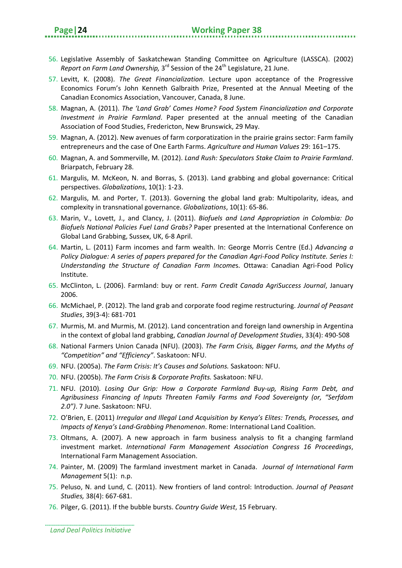- 56. Legislative Assembly of Saskatchewan Standing Committee on Agriculture (LASSCA). (2002) *Report on Farm Land Ownership,* 3<sup>rd</sup> Session of the 24<sup>th</sup> Legislature, 21 June.
- 57. Levitt, K. (2008). *The Great Financialization*. Lecture upon acceptance of the Progressive Economics Forum's John Kenneth Galbraith Prize, Presented at the Annual Meeting of the Canadian Economics Association, Vancouver, Canada, 8 June.
- 58. Magnan, A. (2011). *The 'Land Grab' Comes Home? Food System Financialization and Corporate Investment in Prairie Farmland*. Paper presented at the annual meeting of the Canadian Association of Food Studies, Fredericton, New Brunswick, 29 May.
- 59. Magnan, A. (2012). New avenues of farm corporatization in the prairie grains sector: Farm family entrepreneurs and the case of One Earth Farms. *Agriculture and Human Values* 29: 161–175.
- 60. Magnan, A. and Sommerville, M. (2012). *Land Rush: Speculators Stake Claim to Prairie Farmland*. Briarpatch, February 28.
- 61. Margulis, M. McKeon, N. and Borras, S. (2013). Land grabbing and global governance: Critical perspectives. *Globalizations*, 10(1): 1-23.
- 62. Margulis, M. and Porter, T. (2013). Governing the global land grab: Multipolarity, ideas, and complexity in transnational governance. *Globalizations*, 10(1): 65-86.
- 63. Marin, V., Lovett, J., and Clancy, J. (2011). *Biofuels and Land Appropriation in Colombia: Do Biofuels National Policies Fuel Land Grabs?* Paper presented at the International Conference on Global Land Grabbing, Sussex, UK, 6-8 April.
- 64. Martin, L. (2011) Farm incomes and farm wealth. In: George Morris Centre (Ed.) *Advancing a Policy Dialogue: A series of papers prepared for the Canadian Agri-Food Policy Institute. Series I: Understanding the Structure of Canadian Farm Income*s. Ottawa: Canadian Agri-Food Policy Institute.
- 65. McClinton, L. (2006). Farmland: buy or rent. *Farm Credit Canada AgriSuccess Journal*, January 2006.
- 66. McMichael, P. (2012). The land grab and corporate food regime restructuring. *Journal of Peasant Studies*, 39(3-4): 681-701
- 67. Murmis, M. and Murmis, M. (2012). Land concentration and foreign land ownership in Argentina in the context of global land grabbing, *Canadian Journal of Development Studies*, 33(4): 490-508
- 68. National Farmers Union Canada (NFU). (2003). *The Farm Crisis, Bigger Farms, and the Myths of "Competition" and "Efficiency"*. Saskatoon: NFU.
- 69. NFU. (2005a). *The Farm Crisis: It's Causes and Solutions.* Saskatoon: NFU.
- 70. NFU. (2005b). *The Farm Crisis & Corporate Profits.* Saskatoon: NFU.
- 71. NFU. (2010). *Losing Our Grip: How a Corporate Farmland Buy-up, Rising Farm Debt, and Agribusiness Financing of Inputs Threaten Family Farms and Food Sovereignty (or, "Serfdom 2.0")*. 7 June. Saskatoon: NFU.
- 72. O'Brien, E. (2011) *Irregular and Illegal Land Acquisition by Kenya's Elites: Trends, Processes, and Impacts of Kenya's Land-Grabbing Phenomenon*. Rome: International Land Coalition.
- 73. Oltmans, A. (2007). A new approach in farm business analysis to fit a changing farmland investment market. *International Farm Management Association Congress 16 Proceedings*, International Farm Management Association.
- 74. Painter, M. (2009) The farmland investment market in Canada. *Journal of International Farm Management* 5(1): n.p.
- 75. Peluso, N. and Lund, C. (2011). New frontiers of land control: Introduction. *Journal of Peasant Studies,* 38(4): 667-681.
- 76. Pilger, G. (2011). If the bubble bursts. *Country Guide West*, 15 February.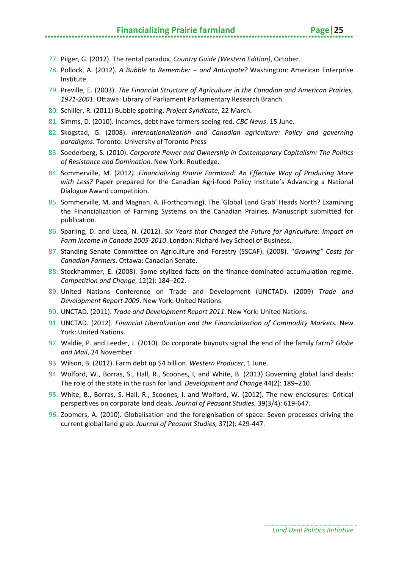#### **Financializing Prairie farmland Page|25**

- 78. Pollock, A. (2012). *A Bubble to Remember – and Anticipate?* Washington: American Enterprise Institute.
- 79. Preville, E. (2003). *The Financial Structure of Agriculture in the Canadian and American Prairies, 1971-2001*. Ottawa: Library of Parliament Parliamentary Research Branch.
- 80. Schiller, R. (2011) Bubble spotting. *Project Syndicate*, 22 March.
- 81. Simms, D. (2010). Incomes, debt have farmers seeing red. *CBC News*. 15 June.
- 82. Skogstad, G. (2008). *Internationalization and Canadian agriculture: Policy and governing paradigms*. Toronto: University of Toronto Press
- 83. Soederberg, S. (2010). *Corporate Power and Ownership in Contemporary Capitalism: The Politics of Resistance and Domination.* New York: Routledge.
- 84. Sommerville, M. (2012*). Financializing Prairie Farmland: An Effective Way of Producing More with Less?* Paper prepared for the Canadian Agri-food Policy Institute's Advancing a National Dialogue Award competition.
- 85. Sommerville, M. and Magnan. A. (Forthcoming). The 'Global Land Grab' Heads North? Examining the Financialization of Farming Systems on the Canadian Prairies. Manuscript submitted for publication.
- 86. Sparling, D. and Uzea, N. (2012). *Six Years that Changed the Future for Agriculture: Impact on Farm Income in Canada 2005-2010*. London: Richard Ivey School of Business.
- 87. Standing Senate Committee on Agriculture and Forestry (SSCAF). (2008). "*Growing" Costs for Canadian Farmers*. Ottawa: Canadian Senate.
- 88. Stockhammer, E. (2008). Some stylized facts on the finance-dominated accumulation regime. *Competition and Change*, 12(2): 184–202.
- 89. United Nations Conference on Trade and Development (UNCTAD). (2009) *Trade and Development Report 2009*. New York: United Nations.
- 90. UNCTAD. (2011). *Trade and Development Report 2011*. New York: United Nations.
- 91. UNCTAD. (2012). *Financial Liberalization and the Financialization of Commodity Markets.* New York: United Nations.
- 92. Waldie, P. and Leeder, J. (2010). Do corporate buyouts signal the end of the family farm? *Globe and Mail*, 24 November.
- 93. Wilson, B. (2012). Farm debt up \$4 billion. *Western Producer*, 1 June.
- 94. Wolford, W., Borras, S., Hall, R., Scoones, I, and White, B. (2013) Governing global land deals: The role of the state in the rush for land. *Development and Change* 44(2): 189–210.
- 95. White, B., Borras, S. Hall, R., Scoones, I. and Wolford, W. (2012). The new enclosures: Critical perspectives on corporate land deals. *Journal of Peasant Studies,* 39(3/4): 619-647.
- 96. Zoomers, A. (2010). Globalisation and the foreignisation of space: Seven processes driving the current global land grab. *Journal of Peasant Studies,* 37(2): 429-447.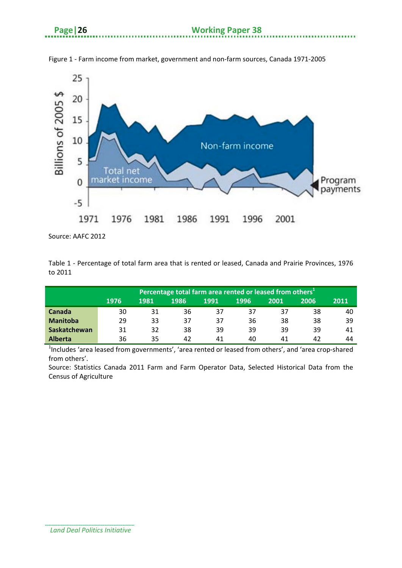

Figure 1 - Farm income from market, government and non-farm sources, Canada 1971-2005

Source: AAFC 2012

Table 1 - Percentage of total farm area that is rented or leased, Canada and Prairie Provinces, 1976 to 2011

|                 | Percentage total farm area rented or leased from others <sup>1</sup> |      |      |      |      |      |      |      |
|-----------------|----------------------------------------------------------------------|------|------|------|------|------|------|------|
|                 | 1976                                                                 | 1981 | 1986 | 1991 | 1996 | 2001 | 2006 | 2011 |
| <b>Canada</b>   | 30                                                                   | 31   | 36   | 37   | 37   | 37   | 38   | 40   |
| <b>Manitoba</b> | 29                                                                   | 33   | 37   | 37   | 36   | 38   | 38   | 39   |
| Saskatchewan    | 31                                                                   | 32   | 38   | 39   | 39   | 39   | 39   | 41   |
| <b>Alberta</b>  | 36                                                                   | 35   | 42   | 41   | 40   | 41   | 42   | 44   |

<sup>1</sup>Includes 'area leased from governments', 'area rented or leased from others', and 'area crop-shared from others'.

Source: Statistics Canada 2011 Farm and Farm Operator Data, Selected Historical Data from the Census of Agriculture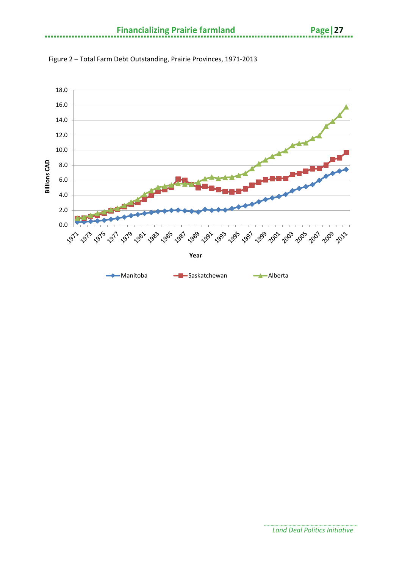

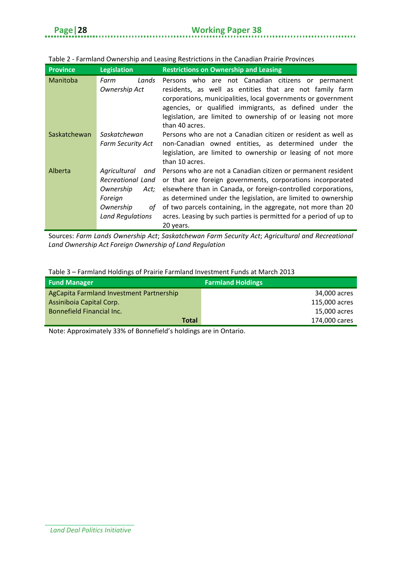. . . . . . . . . . . . .

| <b>Province</b> | <b>Legislation</b>                                                                                              | <b>Restrictions on Ownership and Leasing</b>                                                                                                                                                                                                                                                                                                                                                                    |
|-----------------|-----------------------------------------------------------------------------------------------------------------|-----------------------------------------------------------------------------------------------------------------------------------------------------------------------------------------------------------------------------------------------------------------------------------------------------------------------------------------------------------------------------------------------------------------|
| Manitoba        | Lands<br>Farm<br>Ownership Act                                                                                  | Persons who are not Canadian citizens or permanent<br>residents, as well as entities that are not family farm<br>corporations, municipalities, local governments or government<br>agencies, or qualified immigrants, as defined under the<br>legislation, are limited to ownership of or leasing not more<br>than 40 acres.                                                                                     |
| Saskatchewan    | Saskatchewan<br><b>Farm Security Act</b>                                                                        | Persons who are not a Canadian citizen or resident as well as<br>non-Canadian owned entities, as determined under the<br>legislation, are limited to ownership or leasing of not more<br>than 10 acres.                                                                                                                                                                                                         |
| Alberta         | Agricultural<br>and<br>Recreational Land<br>Ownership<br>Act;<br>Foreign<br>Ownership<br>οf<br>Land Regulations | Persons who are not a Canadian citizen or permanent resident<br>or that are foreign governments, corporations incorporated<br>elsewhere than in Canada, or foreign-controlled corporations,<br>as determined under the legislation, are limited to ownership<br>of two parcels containing, in the aggregate, not more than 20<br>acres. Leasing by such parties is permitted for a period of up to<br>20 years. |

#### Table 2 - Farmland Ownership and Leasing Restrictions in the Canadian Prairie Provinces

Sources: *Farm Lands Ownership Act*; *Saskatchewan Farm Security Act*; *Agricultural and Recreational Land Ownership Act Foreign Ownership of Land Regulation*

#### Table 3 – Farmland Holdings of Prairie Farmland Investment Funds at March 2013

| <b>Fund Manager</b>                      | <b>Farmland Holdings</b> |
|------------------------------------------|--------------------------|
| AgCapita Farmland Investment Partnership | 34,000 acres             |
| Assiniboia Capital Corp.                 | 115,000 acres            |
| Bonnefield Financial Inc.                | 15,000 acres             |
| Total                                    | 174,000 cares            |

Note: Approximately 33% of Bonnefield's holdings are in Ontario.